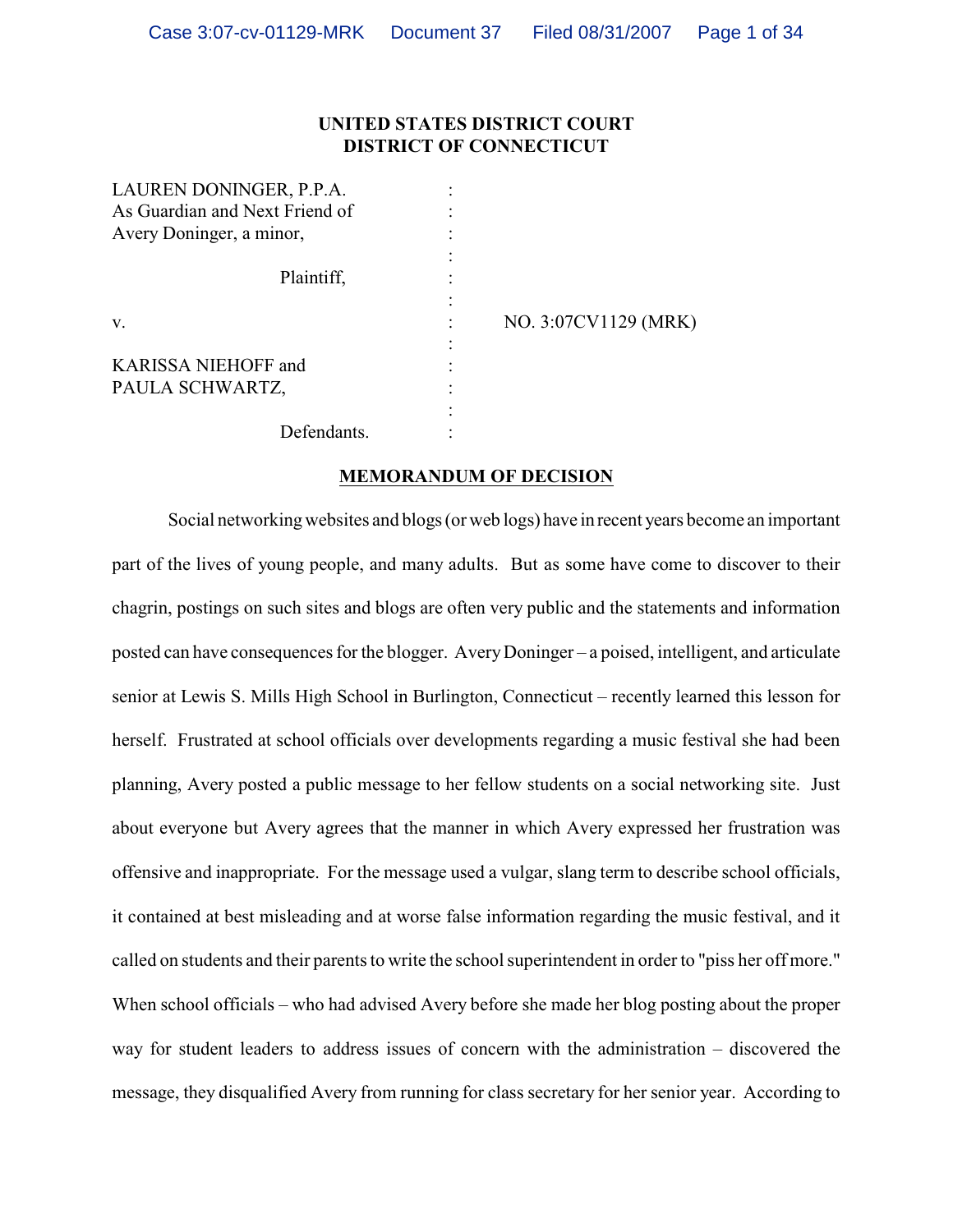# **UNITED STATES DISTRICT COURT DISTRICT OF CONNECTICUT**

| LAUREN DONINGER, P.P.A.<br>As Guardian and Next Friend of<br>Avery Doninger, a minor, |                      |
|---------------------------------------------------------------------------------------|----------------------|
| Plaintiff,                                                                            |                      |
| V.                                                                                    | NO. 3:07CV1129 (MRK) |
| <b>KARISSA NIEHOFF and</b><br>PAULA SCHWARTZ,                                         |                      |
| Defendants.                                                                           |                      |

### **MEMORANDUM OF DECISION**

Social networking websites and blogs (or web logs) have in recent years become an important part of the lives of young people, and many adults. But as some have come to discover to their chagrin, postings on such sites and blogs are often very public and the statements and information posted can have consequences for the blogger. Avery Doninger – a poised, intelligent, and articulate senior at Lewis S. Mills High School in Burlington, Connecticut – recently learned this lesson for herself. Frustrated at school officials over developments regarding a music festival she had been planning, Avery posted a public message to her fellow students on a social networking site. Just about everyone but Avery agrees that the manner in which Avery expressed her frustration was offensive and inappropriate. For the message used a vulgar, slang term to describe school officials, it contained at best misleading and at worse false information regarding the music festival, and it called on students and their parents to write the school superintendent in order to "piss her off more." When school officials – who had advised Avery before she made her blog posting about the proper way for student leaders to address issues of concern with the administration – discovered the message, they disqualified Avery from running for class secretary for her senior year. According to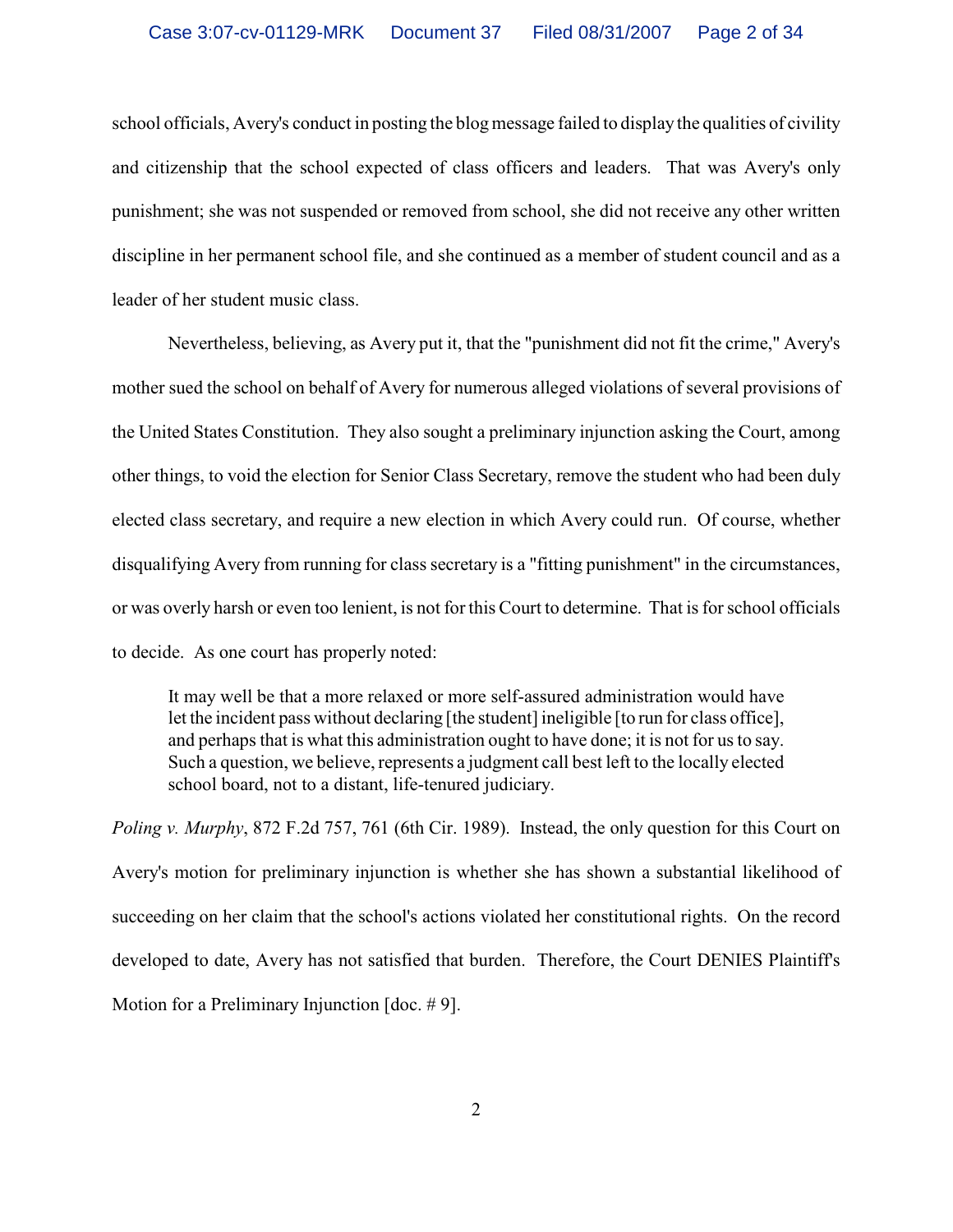school officials, Avery's conduct in posting the blog message failed to display the qualities of civility and citizenship that the school expected of class officers and leaders. That was Avery's only punishment; she was not suspended or removed from school, she did not receive any other written discipline in her permanent school file, and she continued as a member of student council and as a leader of her student music class.

Nevertheless, believing, as Avery put it, that the "punishment did not fit the crime," Avery's mother sued the school on behalf of Avery for numerous alleged violations of several provisions of the United States Constitution. They also sought a preliminary injunction asking the Court, among other things, to void the election for Senior Class Secretary, remove the student who had been duly elected class secretary, and require a new election in which Avery could run. Of course, whether disqualifying Avery from running for class secretary is a "fitting punishment" in the circumstances, or was overly harsh or even too lenient, is not forthis Court to determine. That is for school officials to decide. As one court has properly noted:

It may well be that a more relaxed or more self-assured administration would have let the incident pass without declaring [the student] ineligible [to run for class office], and perhaps that is what this administration ought to have done; it is not for us to say. Such a question, we believe, represents a judgment call best left to the locally elected school board, not to a distant, life-tenured judiciary.

*Poling v. Murphy*, 872 F.2d 757, 761 (6th Cir. 1989). Instead, the only question for this Court on Avery's motion for preliminary injunction is whether she has shown a substantial likelihood of succeeding on her claim that the school's actions violated her constitutional rights. On the record developed to date, Avery has not satisfied that burden. Therefore, the Court DENIES Plaintiff's Motion for a Preliminary Injunction [doc. # 9].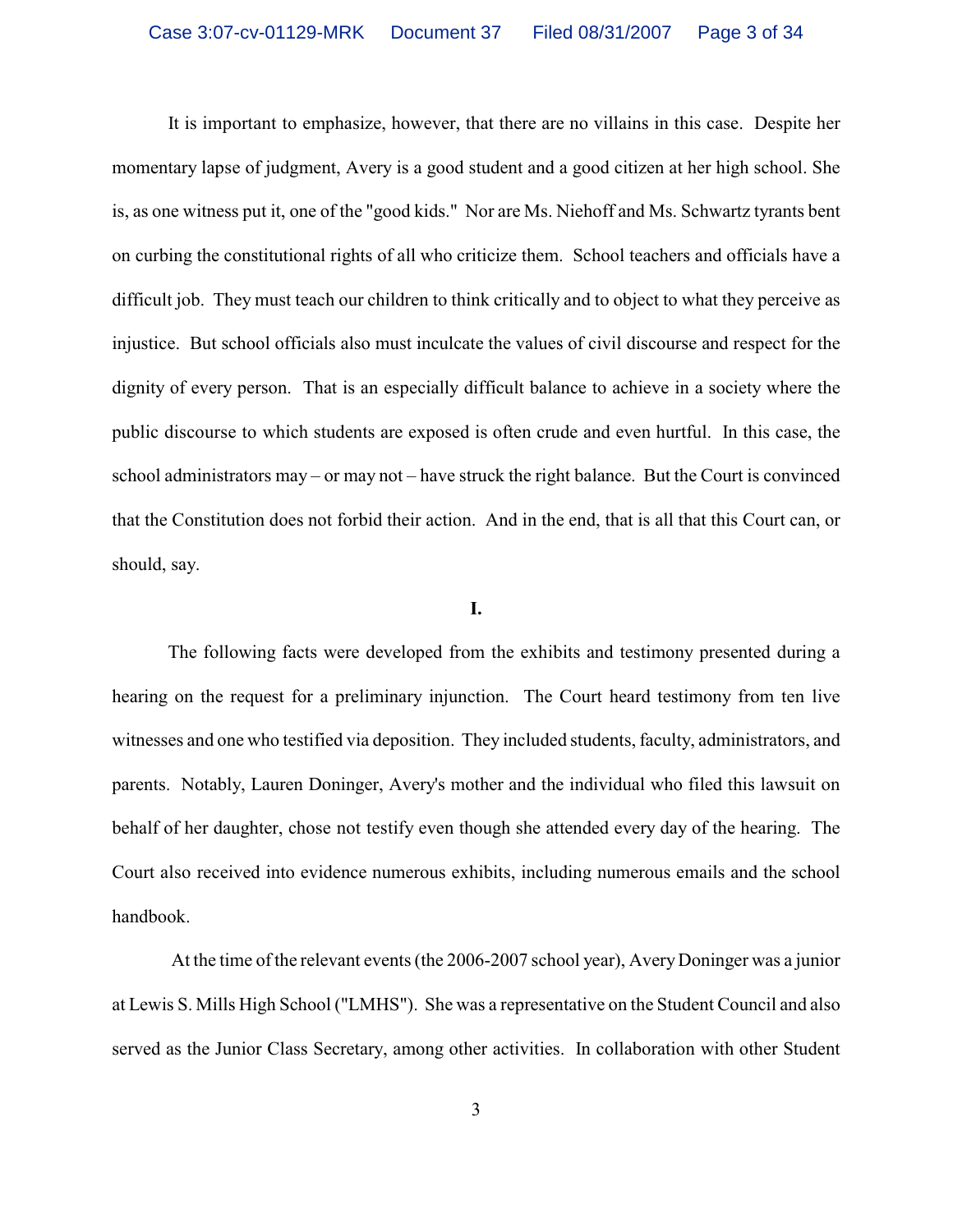It is important to emphasize, however, that there are no villains in this case. Despite her momentary lapse of judgment, Avery is a good student and a good citizen at her high school. She is, as one witness put it, one of the "good kids." Nor are Ms. Niehoff and Ms. Schwartz tyrants bent on curbing the constitutional rights of all who criticize them. School teachers and officials have a difficult job. They must teach our children to think critically and to object to what they perceive as injustice. But school officials also must inculcate the values of civil discourse and respect for the dignity of every person. That is an especially difficult balance to achieve in a society where the public discourse to which students are exposed is often crude and even hurtful. In this case, the school administrators may – or may not – have struck the right balance. But the Court is convinced that the Constitution does not forbid their action. And in the end, that is all that this Court can, or should, say.

### **I.**

The following facts were developed from the exhibits and testimony presented during a hearing on the request for a preliminary injunction. The Court heard testimony from ten live witnesses and one who testified via deposition. They included students, faculty, administrators, and parents. Notably, Lauren Doninger, Avery's mother and the individual who filed this lawsuit on behalf of her daughter, chose not testify even though she attended every day of the hearing. The Court also received into evidence numerous exhibits, including numerous emails and the school handbook.

 At the time ofthe relevant events (the 2006-2007 school year), Avery Doninger was a junior at Lewis S. Mills High School ("LMHS"). She was a representative on the Student Council and also served as the Junior Class Secretary, among other activities. In collaboration with other Student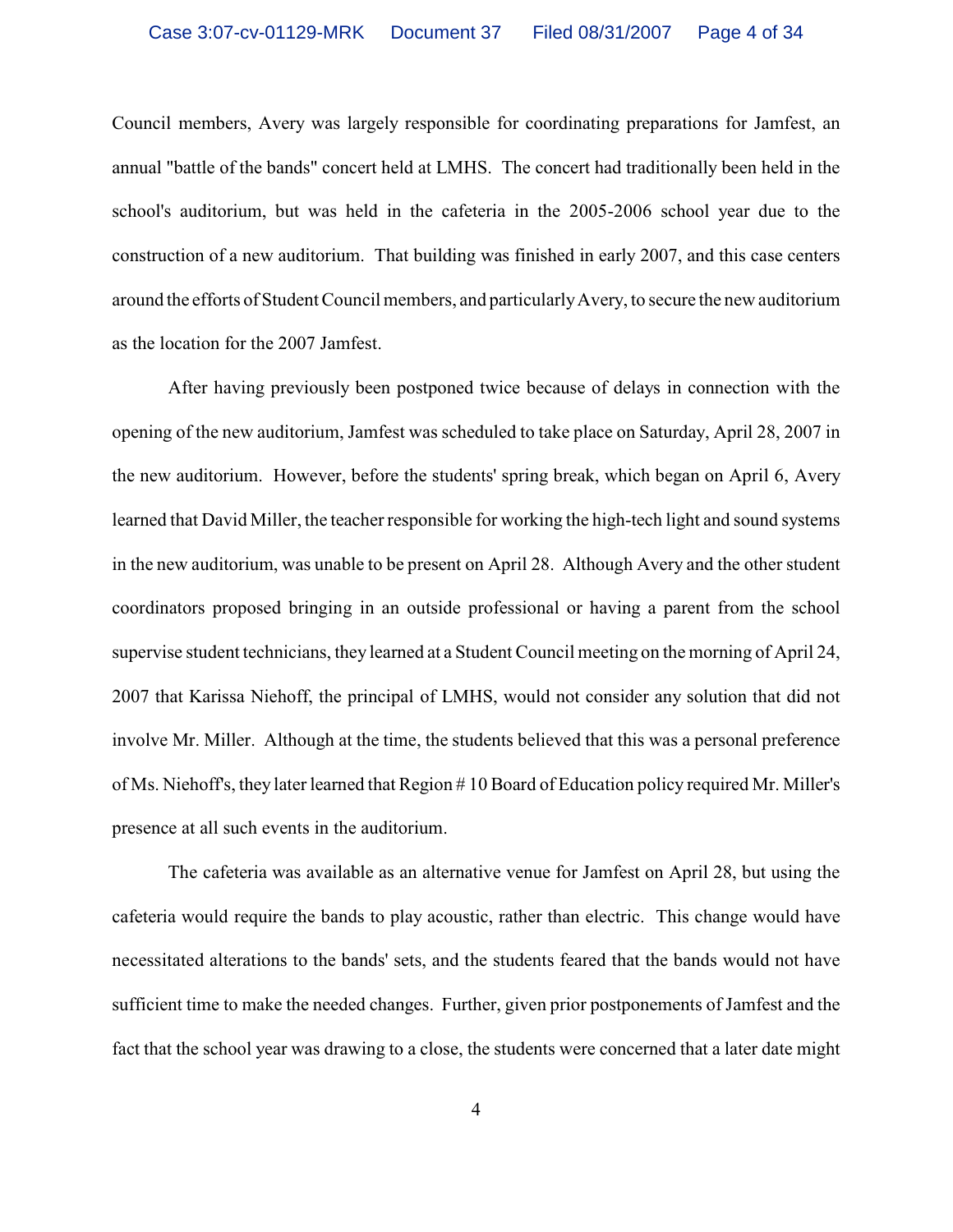Council members, Avery was largely responsible for coordinating preparations for Jamfest, an annual "battle of the bands" concert held at LMHS. The concert had traditionally been held in the school's auditorium, but was held in the cafeteria in the 2005-2006 school year due to the construction of a new auditorium. That building was finished in early 2007, and this case centers around the efforts of Student Council members, and particularly Avery, to secure the new auditorium as the location for the 2007 Jamfest.

After having previously been postponed twice because of delays in connection with the opening of the new auditorium, Jamfest was scheduled to take place on Saturday, April 28, 2007 in the new auditorium. However, before the students' spring break, which began on April 6, Avery learned that David Miller, the teacher responsible for working the high-tech light and sound systems in the new auditorium, was unable to be present on April 28. Although Avery and the other student coordinators proposed bringing in an outside professional or having a parent from the school supervise student technicians, they learned at a Student Council meeting on the morning of April 24, 2007 that Karissa Niehoff, the principal of LMHS, would not consider any solution that did not involve Mr. Miller. Although at the time, the students believed that this was a personal preference of Ms. Niehoff's, they later learned that Region # 10 Board of Education policy required Mr. Miller's presence at all such events in the auditorium.

The cafeteria was available as an alternative venue for Jamfest on April 28, but using the cafeteria would require the bands to play acoustic, rather than electric. This change would have necessitated alterations to the bands' sets, and the students feared that the bands would not have sufficient time to make the needed changes. Further, given prior postponements of Jamfest and the fact that the school year was drawing to a close, the students were concerned that a later date might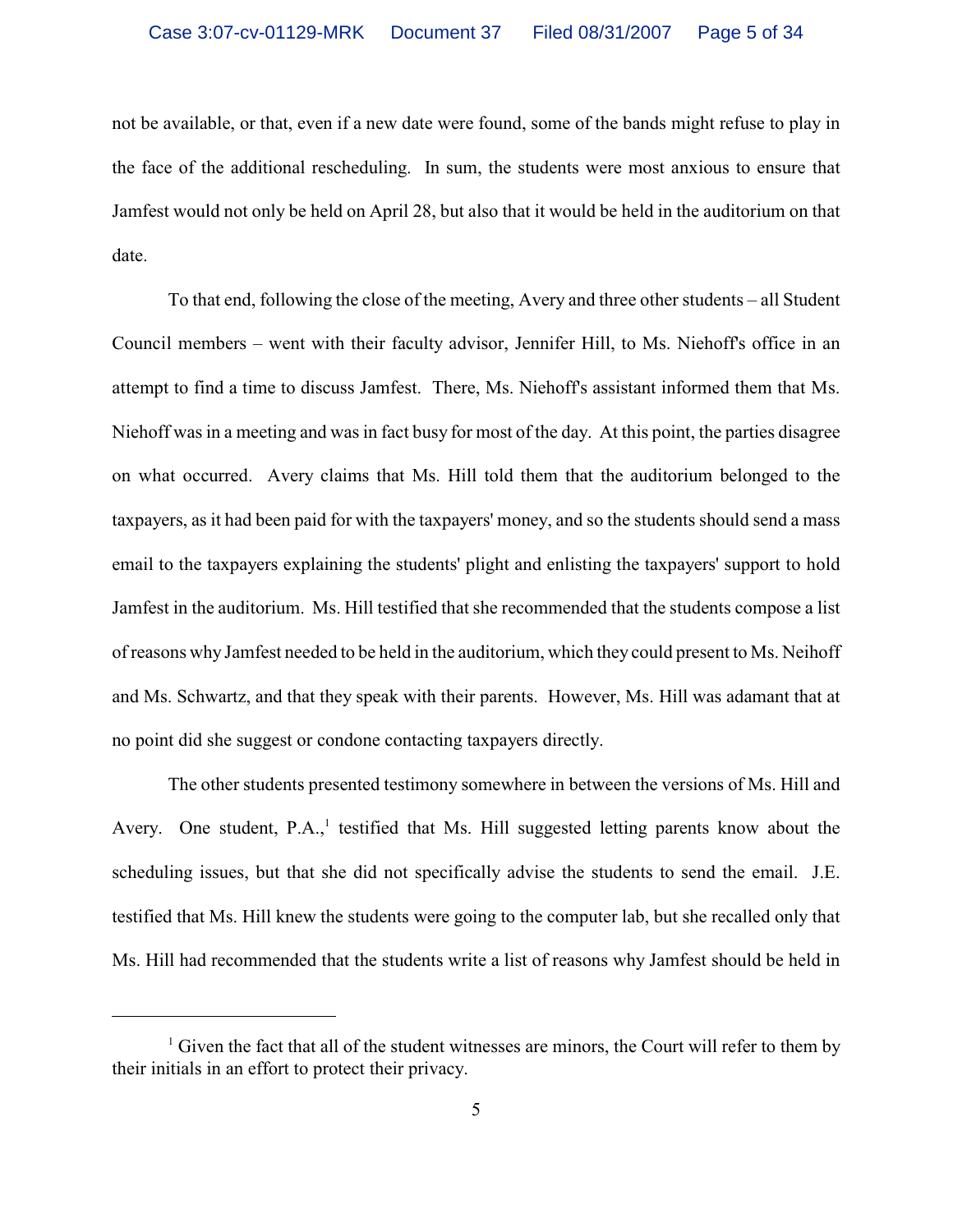not be available, or that, even if a new date were found, some of the bands might refuse to play in the face of the additional rescheduling. In sum, the students were most anxious to ensure that Jamfest would not only be held on April 28, but also that it would be held in the auditorium on that date.

To that end, following the close of the meeting, Avery and three other students – all Student Council members – went with their faculty advisor, Jennifer Hill, to Ms. Niehoff's office in an attempt to find a time to discuss Jamfest. There, Ms. Niehoff's assistant informed them that Ms. Niehoff was in a meeting and was in fact busy for most of the day. At this point, the parties disagree on what occurred. Avery claims that Ms. Hill told them that the auditorium belonged to the taxpayers, as it had been paid for with the taxpayers' money, and so the students should send a mass email to the taxpayers explaining the students' plight and enlisting the taxpayers' support to hold Jamfest in the auditorium. Ms. Hill testified that she recommended that the students compose a list of reasons why Jamfest needed to be held in the auditorium, which they could present to Ms. Neihoff and Ms. Schwartz, and that they speak with their parents. However, Ms. Hill was adamant that at no point did she suggest or condone contacting taxpayers directly.

The other students presented testimony somewhere in between the versions of Ms. Hill and Avery. One student,  $P.A.,<sup>1</sup>$  testified that Ms. Hill suggested letting parents know about the scheduling issues, but that she did not specifically advise the students to send the email. J.E. testified that Ms. Hill knew the students were going to the computer lab, but she recalled only that Ms. Hill had recommended that the students write a list of reasons why Jamfest should be held in

 $\frac{1}{1}$  Given the fact that all of the student witnesses are minors, the Court will refer to them by their initials in an effort to protect their privacy.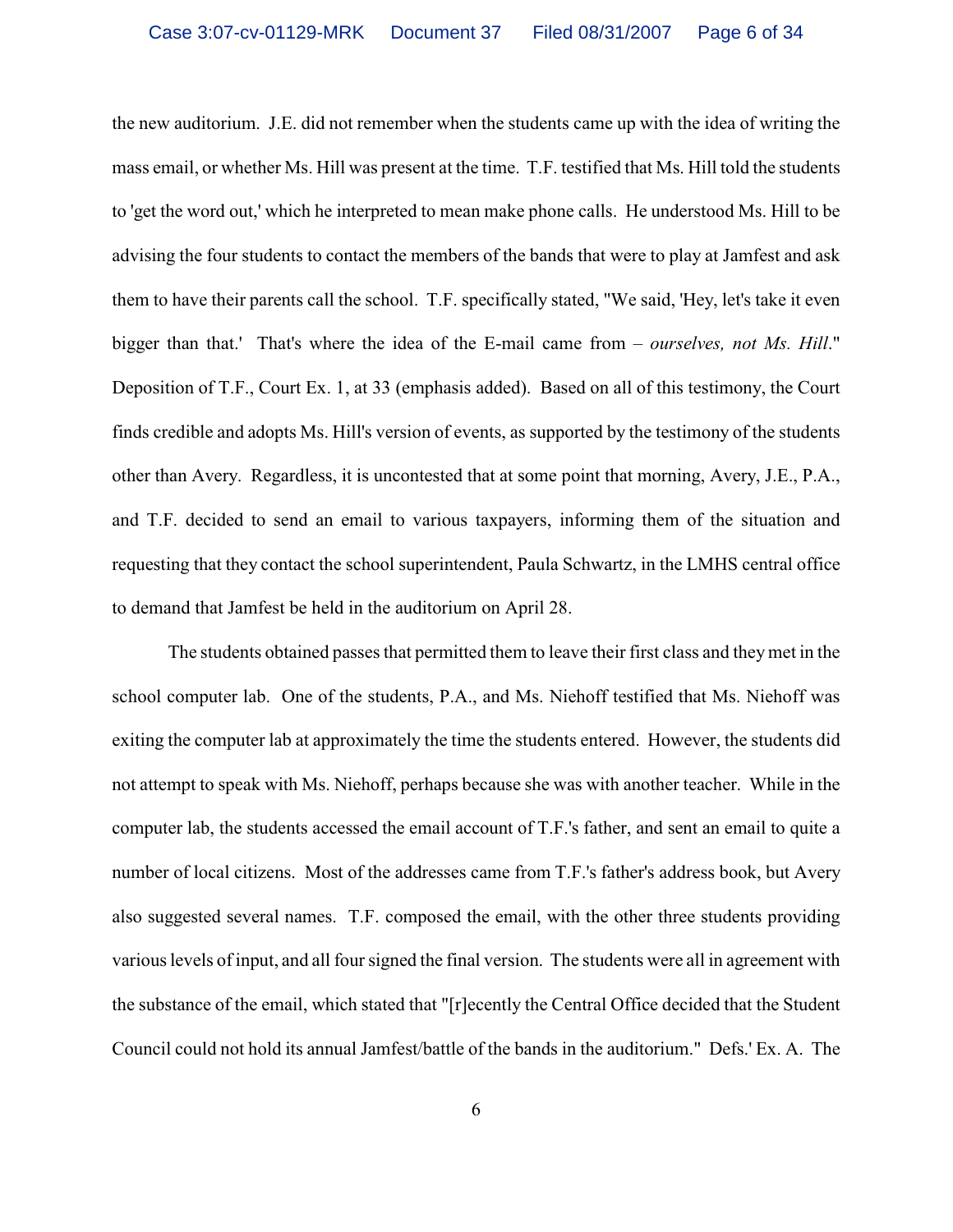the new auditorium. J.E. did not remember when the students came up with the idea of writing the mass email, or whether Ms. Hill was present at the time. T.F. testified that Ms. Hill told the students to 'get the word out,' which he interpreted to mean make phone calls. He understood Ms. Hill to be advising the four students to contact the members of the bands that were to play at Jamfest and ask them to have their parents call the school. T.F. specifically stated, "We said, 'Hey, let's take it even bigger than that.' That's where the idea of the E-mail came from – *ourselves, not Ms. Hill*." Deposition of T.F., Court Ex. 1, at 33 (emphasis added). Based on all of this testimony, the Court finds credible and adopts Ms. Hill's version of events, as supported by the testimony of the students other than Avery. Regardless, it is uncontested that at some point that morning, Avery, J.E., P.A., and T.F. decided to send an email to various taxpayers, informing them of the situation and requesting that they contact the school superintendent, Paula Schwartz, in the LMHS central office to demand that Jamfest be held in the auditorium on April 28.

The students obtained passes that permitted them to leave their first class and they met in the school computer lab. One of the students, P.A., and Ms. Niehoff testified that Ms. Niehoff was exiting the computer lab at approximately the time the students entered. However, the students did not attempt to speak with Ms. Niehoff, perhaps because she was with another teacher. While in the computer lab, the students accessed the email account of T.F.'s father, and sent an email to quite a number of local citizens. Most of the addresses came from T.F.'s father's address book, but Avery also suggested several names. T.F. composed the email, with the other three students providing various levels ofinput, and all four signed the final version. The students were all in agreement with the substance of the email, which stated that "[r]ecently the Central Office decided that the Student Council could not hold its annual Jamfest/battle of the bands in the auditorium." Defs.' Ex. A. The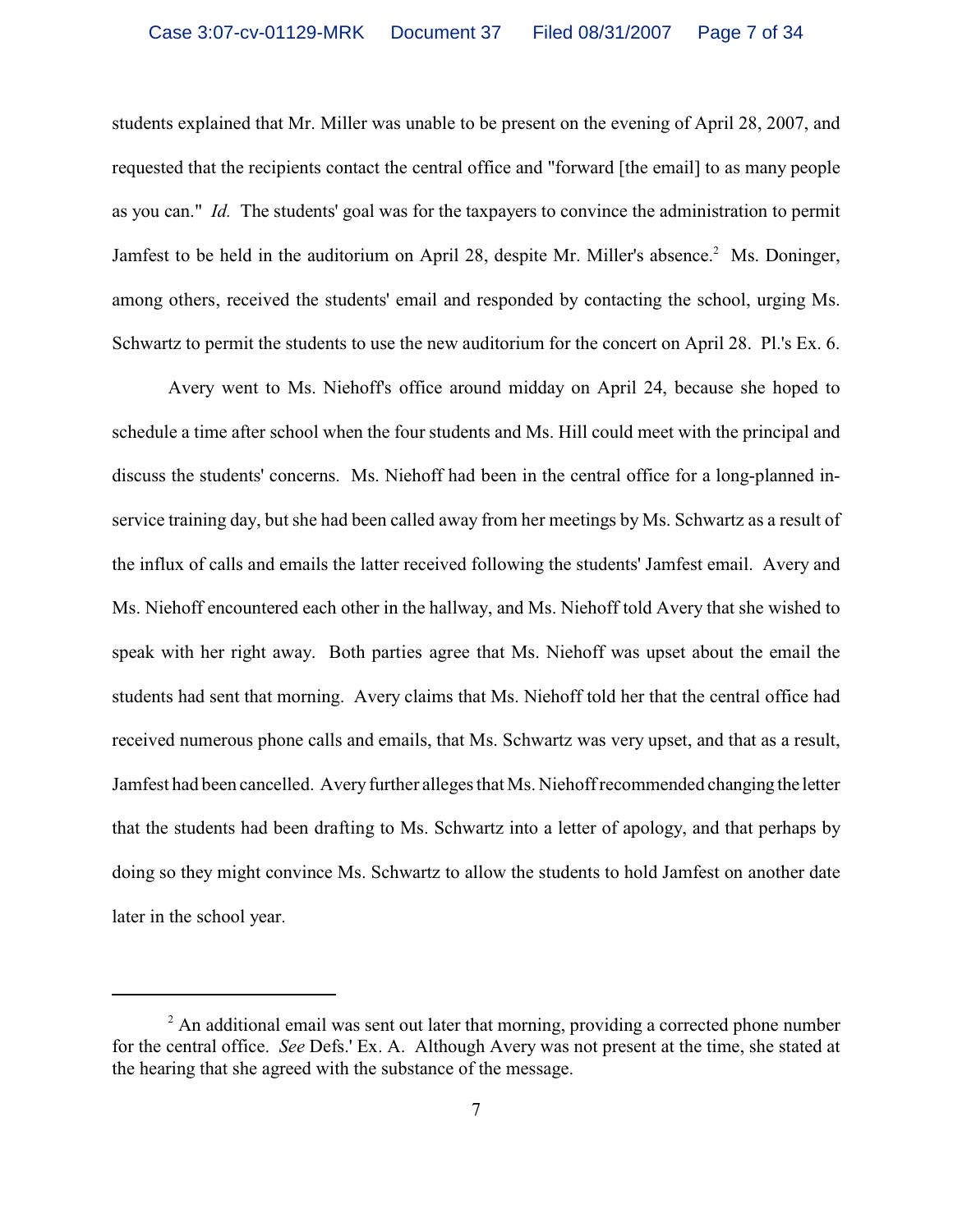students explained that Mr. Miller was unable to be present on the evening of April 28, 2007, and requested that the recipients contact the central office and "forward [the email] to as many people as you can." *Id.* The students' goal was for the taxpayers to convince the administration to permit Jamfest to be held in the auditorium on April 28, despite Mr. Miller's absence.<sup>2</sup> Ms. Doninger, among others, received the students' email and responded by contacting the school, urging Ms. Schwartz to permit the students to use the new auditorium for the concert on April 28. Pl.'s Ex. 6.

Avery went to Ms. Niehoff's office around midday on April 24, because she hoped to schedule a time after school when the four students and Ms. Hill could meet with the principal and discuss the students' concerns. Ms. Niehoff had been in the central office for a long-planned inservice training day, but she had been called away from her meetings by Ms. Schwartz as a result of the influx of calls and emails the latter received following the students' Jamfest email. Avery and Ms. Niehoff encountered each other in the hallway, and Ms. Niehoff told Avery that she wished to speak with her right away. Both parties agree that Ms. Niehoff was upset about the email the students had sent that morning. Avery claims that Ms. Niehoff told her that the central office had received numerous phone calls and emails, that Ms. Schwartz was very upset, and that as a result, Jamfest had been cancelled. Avery further alleges that Ms. Niehoff recommended changing the letter that the students had been drafting to Ms. Schwartz into a letter of apology, and that perhaps by doing so they might convince Ms. Schwartz to allow the students to hold Jamfest on another date later in the school year.

 $<sup>2</sup>$  An additional email was sent out later that morning, providing a corrected phone number</sup> for the central office. *See* Defs.' Ex. A. Although Avery was not present at the time, she stated at the hearing that she agreed with the substance of the message.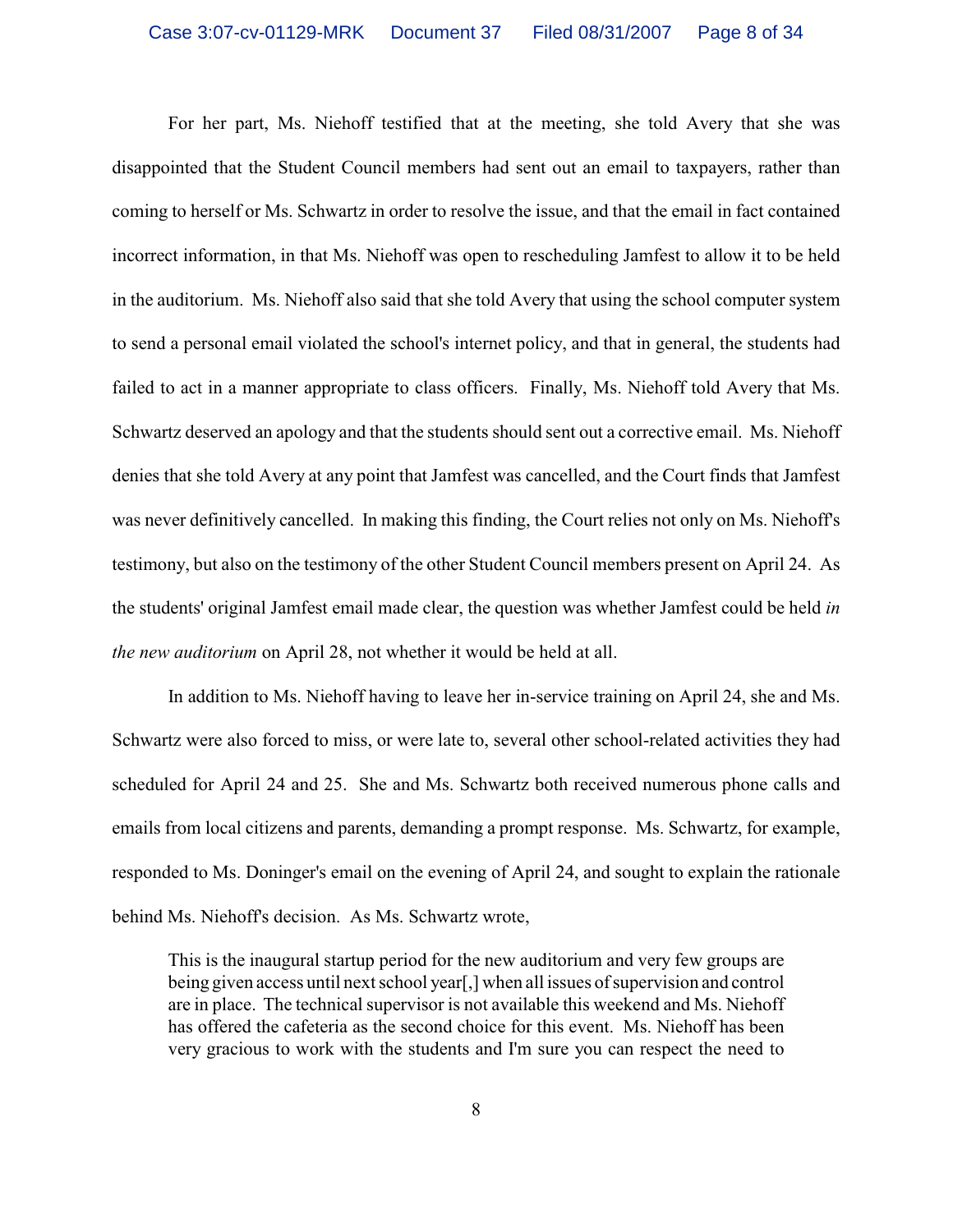For her part, Ms. Niehoff testified that at the meeting, she told Avery that she was disappointed that the Student Council members had sent out an email to taxpayers, rather than coming to herself or Ms. Schwartz in order to resolve the issue, and that the email in fact contained incorrect information, in that Ms. Niehoff was open to rescheduling Jamfest to allow it to be held in the auditorium. Ms. Niehoff also said that she told Avery that using the school computer system to send a personal email violated the school's internet policy, and that in general, the students had failed to act in a manner appropriate to class officers. Finally, Ms. Niehoff told Avery that Ms. Schwartz deserved an apology and that the students should sent out a corrective email. Ms. Niehoff denies that she told Avery at any point that Jamfest was cancelled, and the Court finds that Jamfest was never definitively cancelled. In making this finding, the Court relies not only on Ms. Niehoff's testimony, but also on the testimony of the other Student Council members present on April 24. As the students' original Jamfest email made clear, the question was whether Jamfest could be held *in the new auditorium* on April 28, not whether it would be held at all.

In addition to Ms. Niehoff having to leave her in-service training on April 24, she and Ms. Schwartz were also forced to miss, or were late to, several other school-related activities they had scheduled for April 24 and 25. She and Ms. Schwartz both received numerous phone calls and emails from local citizens and parents, demanding a prompt response. Ms. Schwartz, for example, responded to Ms. Doninger's email on the evening of April 24, and sought to explain the rationale behind Ms. Niehoff's decision. As Ms. Schwartz wrote,

This is the inaugural startup period for the new auditorium and very few groups are being given access until next school year[,] when all issues of supervision and control are in place. The technical supervisor is not available this weekend and Ms. Niehoff has offered the cafeteria as the second choice for this event. Ms. Niehoff has been very gracious to work with the students and I'm sure you can respect the need to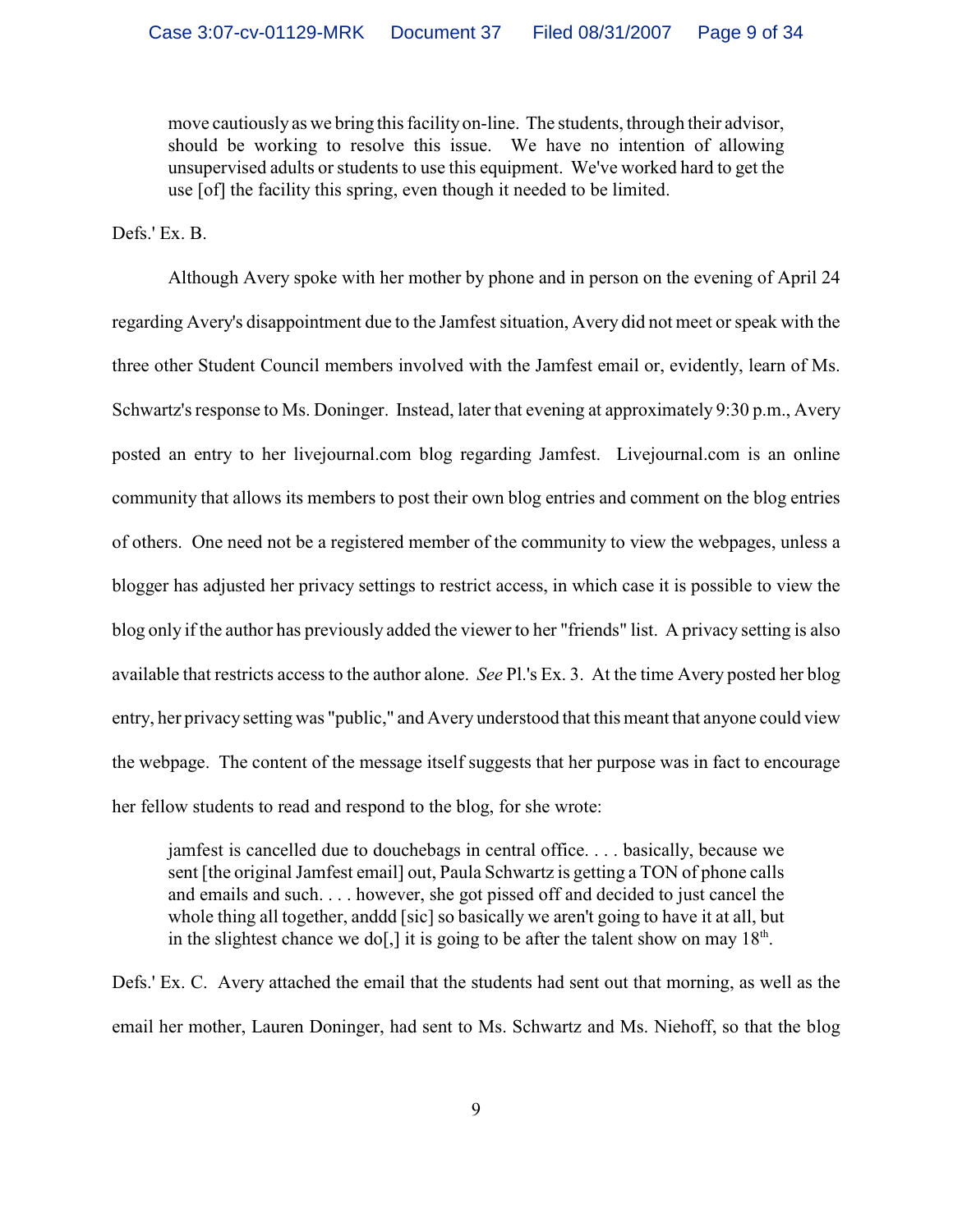move cautiously as we bring this facility on-line. The students, through their advisor, should be working to resolve this issue. We have no intention of allowing unsupervised adults or students to use this equipment. We've worked hard to get the use [of] the facility this spring, even though it needed to be limited.

Defs.' Ex. B.

Although Avery spoke with her mother by phone and in person on the evening of April 24 regarding Avery's disappointment due to the Jamfest situation, Avery did not meet or speak with the three other Student Council members involved with the Jamfest email or, evidently, learn of Ms. Schwartz's response to Ms. Doninger. Instead, later that evening at approximately 9:30 p.m., Avery posted an entry to her livejournal.com blog regarding Jamfest. Livejournal.com is an online community that allows its members to post their own blog entries and comment on the blog entries of others. One need not be a registered member of the community to view the webpages, unless a blogger has adjusted her privacy settings to restrict access, in which case it is possible to view the blog only if the author has previously added the viewer to her "friends" list. A privacy setting is also available that restricts access to the author alone. *See* Pl.'s Ex. 3. At the time Avery posted her blog entry, her privacy setting was "public," and Avery understood that this meant that anyone could view the webpage. The content of the message itself suggests that her purpose was in fact to encourage her fellow students to read and respond to the blog, for she wrote:

jamfest is cancelled due to douchebags in central office. . . . basically, because we sent [the original Jamfest email] out, Paula Schwartz is getting a TON of phone calls and emails and such. . . . however, she got pissed off and decided to just cancel the whole thing all together, anddd [sic] so basically we aren't going to have it at all, but in the slightest chance we do[,] it is going to be after the talent show on may  $18<sup>th</sup>$ .

Defs.' Ex. C. Avery attached the email that the students had sent out that morning, as well as the email her mother, Lauren Doninger, had sent to Ms. Schwartz and Ms. Niehoff, so that the blog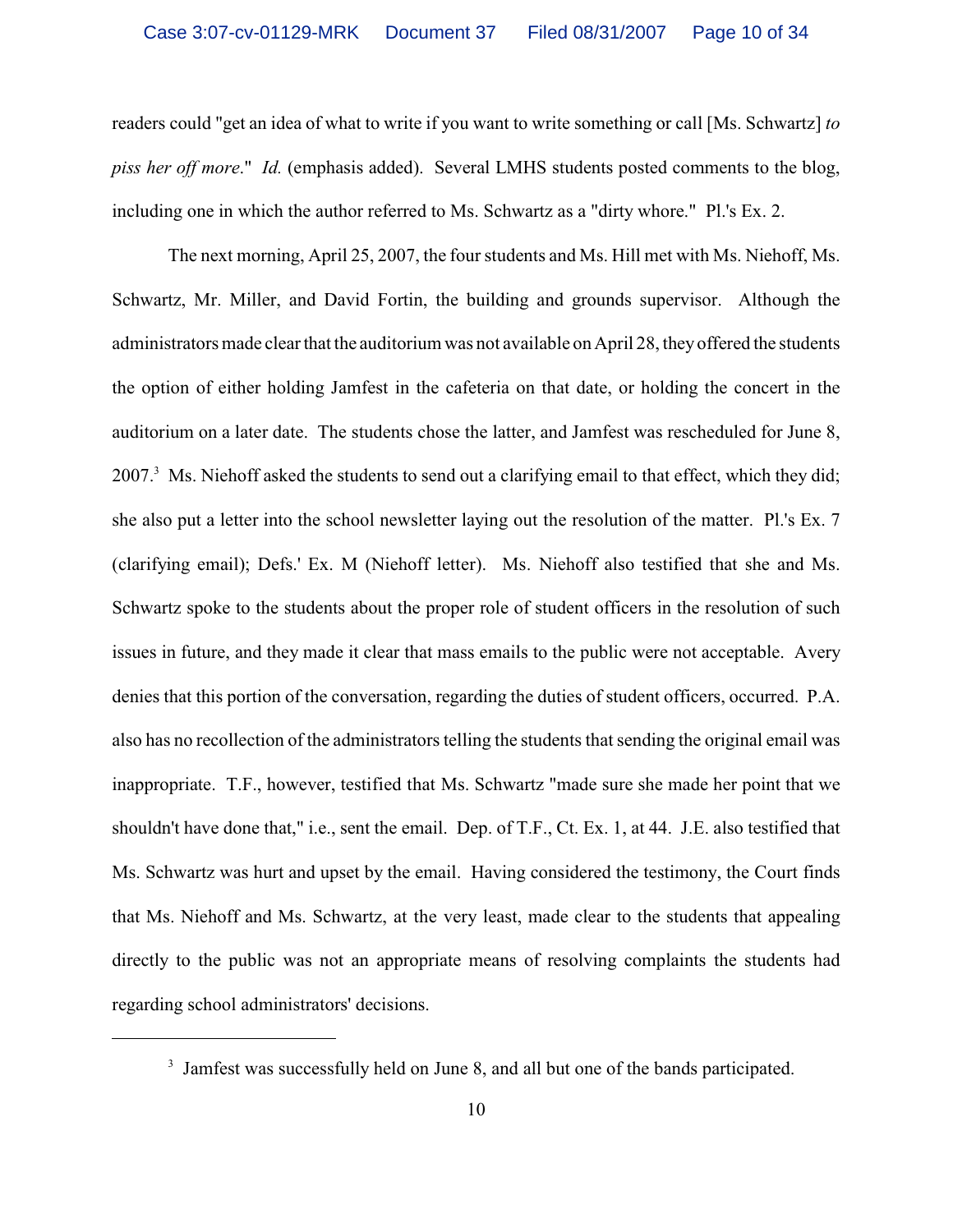readers could "get an idea of what to write if you want to write something or call [Ms. Schwartz] *to piss her off more*." *Id.* (emphasis added). Several LMHS students posted comments to the blog, including one in which the author referred to Ms. Schwartz as a "dirty whore." Pl.'s Ex. 2.

The next morning, April 25, 2007, the four students and Ms. Hill met with Ms. Niehoff, Ms. Schwartz, Mr. Miller, and David Fortin, the building and grounds supervisor. Although the administrators made clear that the auditorium was not available on April 28, they offered the students the option of either holding Jamfest in the cafeteria on that date, or holding the concert in the auditorium on a later date. The students chose the latter, and Jamfest was rescheduled for June 8, 2007.<sup>3</sup> Ms. Niehoff asked the students to send out a clarifying email to that effect, which they did; she also put a letter into the school newsletter laying out the resolution of the matter. Pl.'s Ex. 7 (clarifying email); Defs.' Ex. M (Niehoff letter). Ms. Niehoff also testified that she and Ms. Schwartz spoke to the students about the proper role of student officers in the resolution of such issues in future, and they made it clear that mass emails to the public were not acceptable. Avery denies that this portion of the conversation, regarding the duties of student officers, occurred. P.A. also has no recollection of the administrators telling the students that sending the original email was inappropriate. T.F., however, testified that Ms. Schwartz "made sure she made her point that we shouldn't have done that," i.e., sent the email. Dep. of T.F., Ct. Ex. 1, at 44. J.E. also testified that Ms. Schwartz was hurt and upset by the email. Having considered the testimony, the Court finds that Ms. Niehoff and Ms. Schwartz, at the very least, made clear to the students that appealing directly to the public was not an appropriate means of resolving complaints the students had regarding school administrators' decisions.

<sup>&</sup>lt;sup>3</sup> Jamfest was successfully held on June 8, and all but one of the bands participated.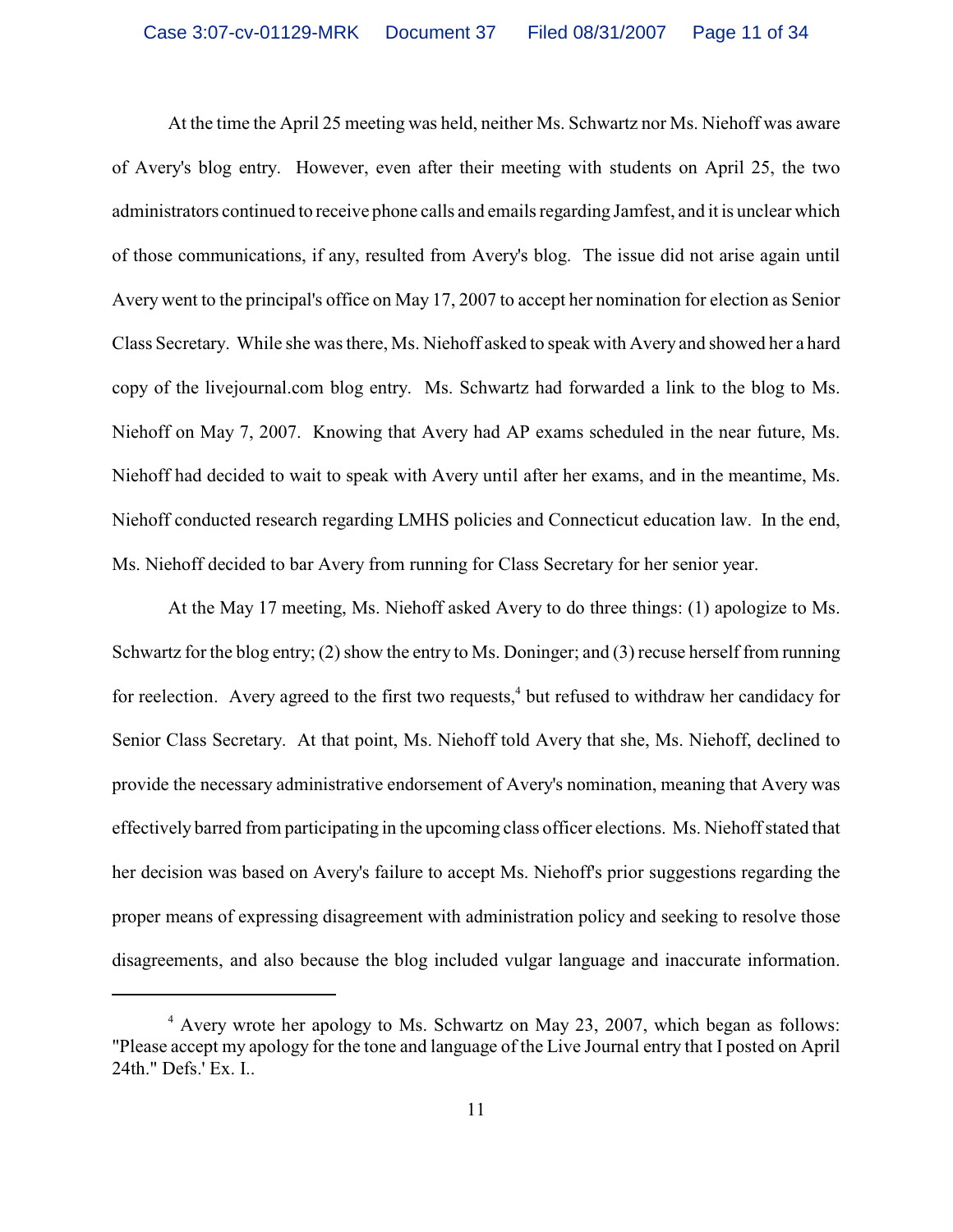At the time the April 25 meeting was held, neither Ms. Schwartz nor Ms. Niehoff was aware of Avery's blog entry. However, even after their meeting with students on April 25, the two administrators continued to receive phone calls and emails regarding Jamfest, and it is unclear which of those communications, if any, resulted from Avery's blog. The issue did not arise again until Avery went to the principal's office on May 17, 2007 to accept her nomination for election as Senior Class Secretary. While she was there, Ms. Niehoff asked to speak with Avery and showed her a hard copy of the livejournal.com blog entry. Ms. Schwartz had forwarded a link to the blog to Ms. Niehoff on May 7, 2007. Knowing that Avery had AP exams scheduled in the near future, Ms. Niehoff had decided to wait to speak with Avery until after her exams, and in the meantime, Ms. Niehoff conducted research regarding LMHS policies and Connecticut education law. In the end, Ms. Niehoff decided to bar Avery from running for Class Secretary for her senior year.

At the May 17 meeting, Ms. Niehoff asked Avery to do three things: (1) apologize to Ms. Schwartz for the blog entry; (2) show the entry to Ms. Doninger; and (3) recuse herself from running for reelection. Avery agreed to the first two requests,<sup> $4$ </sup> but refused to withdraw her candidacy for Senior Class Secretary. At that point, Ms. Niehoff told Avery that she, Ms. Niehoff, declined to provide the necessary administrative endorsement of Avery's nomination, meaning that Avery was effectively barred from participating in the upcoming class officer elections. Ms. Niehoff stated that her decision was based on Avery's failure to accept Ms. Niehoff's prior suggestions regarding the proper means of expressing disagreement with administration policy and seeking to resolve those disagreements, and also because the blog included vulgar language and inaccurate information.

 $4$  Avery wrote her apology to Ms. Schwartz on May 23, 2007, which began as follows: "Please accept my apology for the tone and language of the Live Journal entry that I posted on April 24th." Defs.' Ex. I..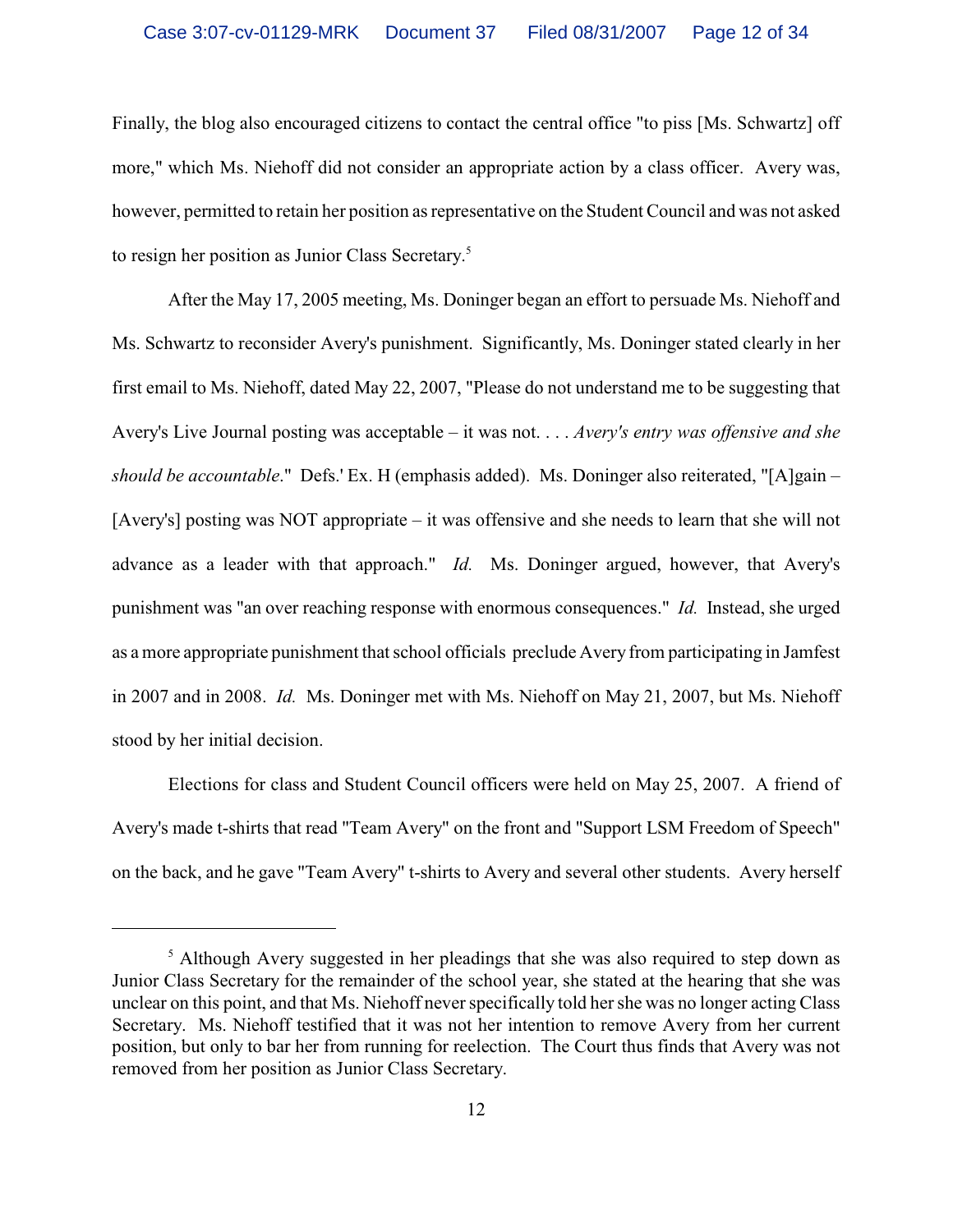Finally, the blog also encouraged citizens to contact the central office "to piss [Ms. Schwartz] off more," which Ms. Niehoff did not consider an appropriate action by a class officer. Avery was, however, permitted to retain her position as representative on the Student Council and was not asked to resign her position as Junior Class Secretary.<sup>5</sup>

After the May 17, 2005 meeting, Ms. Doninger began an effort to persuade Ms. Niehoff and Ms. Schwartz to reconsider Avery's punishment. Significantly, Ms. Doninger stated clearly in her first email to Ms. Niehoff, dated May 22, 2007, "Please do not understand me to be suggesting that Avery's Live Journal posting was acceptable – it was not. . . . *Avery's entry was offensive and she should be accountable*." Defs.' Ex. H (emphasis added). Ms. Doninger also reiterated, "[A]gain – [Avery's] posting was NOT appropriate – it was offensive and she needs to learn that she will not advance as a leader with that approach." *Id.* Ms. Doninger argued, however, that Avery's punishment was "an over reaching response with enormous consequences." *Id.* Instead, she urged as a more appropriate punishment that school officials preclude Avery from participating in Jamfest in 2007 and in 2008. *Id.* Ms. Doninger met with Ms. Niehoff on May 21, 2007, but Ms. Niehoff stood by her initial decision.

Elections for class and Student Council officers were held on May 25, 2007. A friend of Avery's made t-shirts that read "Team Avery" on the front and "Support LSM Freedom of Speech" on the back, and he gave "Team Avery" t-shirts to Avery and several other students. Avery herself

 $<sup>5</sup>$  Although Avery suggested in her pleadings that she was also required to step down as</sup> Junior Class Secretary for the remainder of the school year, she stated at the hearing that she was unclear on this point, and that Ms. Niehoff never specifically told her she was no longer acting Class Secretary. Ms. Niehoff testified that it was not her intention to remove Avery from her current position, but only to bar her from running for reelection. The Court thus finds that Avery was not removed from her position as Junior Class Secretary.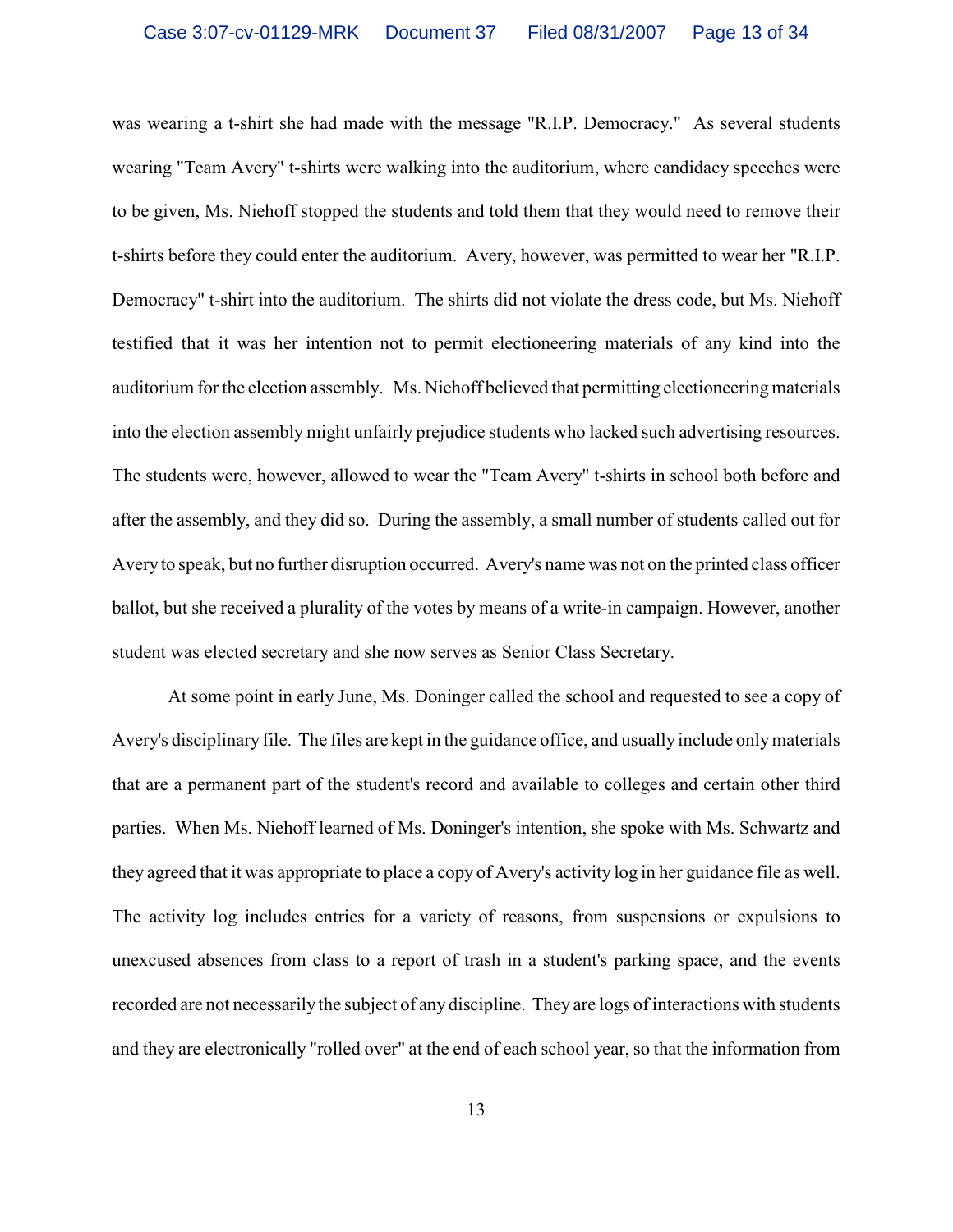was wearing a t-shirt she had made with the message "R.I.P. Democracy." As several students wearing "Team Avery" t-shirts were walking into the auditorium, where candidacy speeches were to be given, Ms. Niehoff stopped the students and told them that they would need to remove their t-shirts before they could enter the auditorium. Avery, however, was permitted to wear her "R.I.P. Democracy" t-shirt into the auditorium. The shirts did not violate the dress code, but Ms. Niehoff testified that it was her intention not to permit electioneering materials of any kind into the auditorium for the election assembly. Ms. Niehoff believed that permitting electioneering materials into the election assembly might unfairly prejudice students who lacked such advertising resources. The students were, however, allowed to wear the "Team Avery" t-shirts in school both before and after the assembly, and they did so. During the assembly, a small number of students called out for Avery to speak, but no further disruption occurred. Avery's name was not on the printed class officer ballot, but she received a plurality of the votes by means of a write-in campaign. However, another student was elected secretary and she now serves as Senior Class Secretary.

At some point in early June, Ms. Doninger called the school and requested to see a copy of Avery's disciplinary file. The files are kept in the guidance office, and usually include only materials that are a permanent part of the student's record and available to colleges and certain other third parties. When Ms. Niehoff learned of Ms. Doninger's intention, she spoke with Ms. Schwartz and they agreed that it was appropriate to place a copy of Avery's activity log in her guidance file as well. The activity log includes entries for a variety of reasons, from suspensions or expulsions to unexcused absences from class to a report of trash in a student's parking space, and the events recorded are not necessarily the subject of any discipline. They are logs of interactions with students and they are electronically "rolled over" at the end of each school year, so that the information from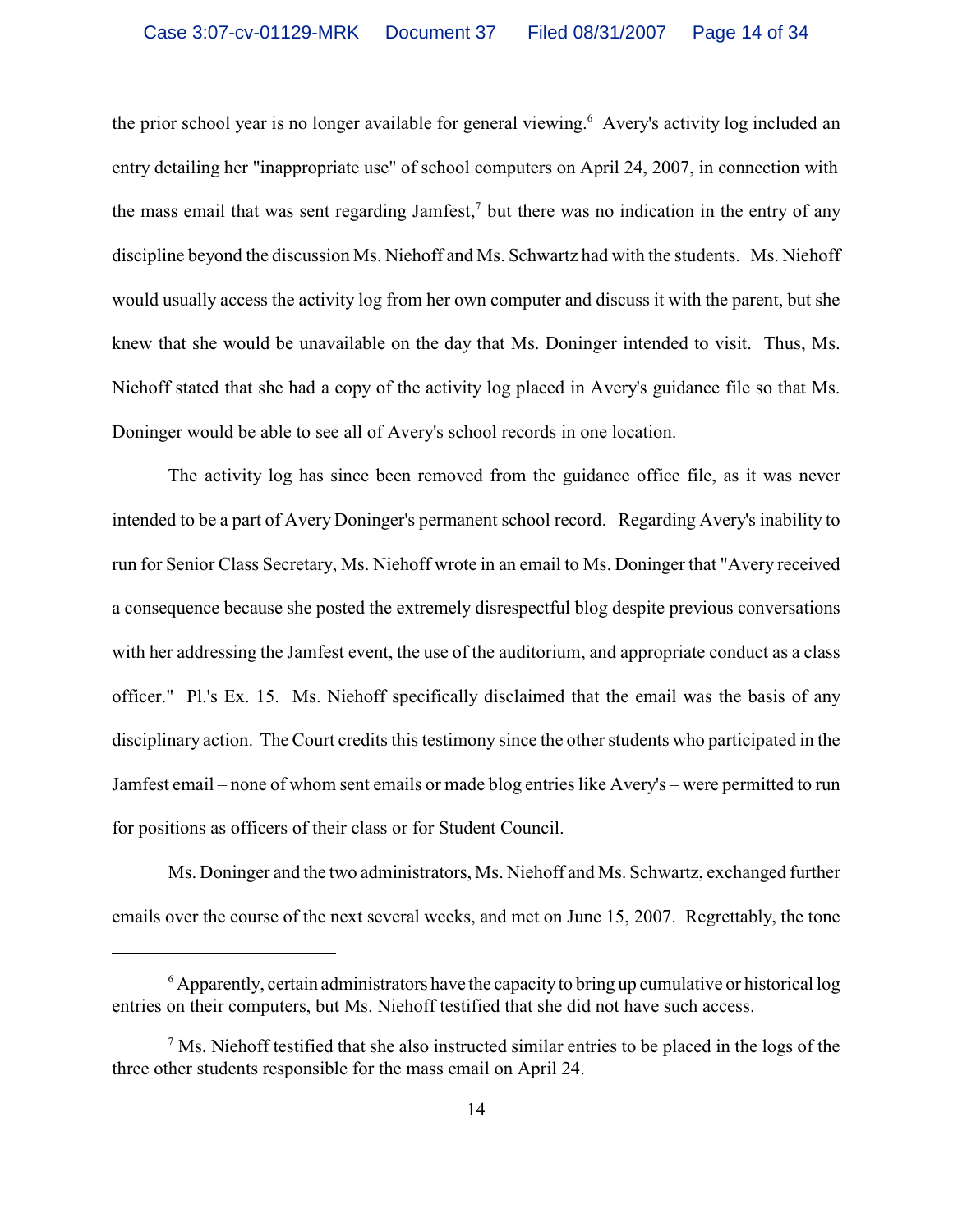the prior school year is no longer available for general viewing. Avery's activity log included an entry detailing her "inappropriate use" of school computers on April 24, 2007, in connection with the mass email that was sent regarding Jamfest,<sup>7</sup> but there was no indication in the entry of any discipline beyond the discussion Ms. Niehoff and Ms. Schwartz had with the students. Ms. Niehoff would usually access the activity log from her own computer and discuss it with the parent, but she knew that she would be unavailable on the day that Ms. Doninger intended to visit. Thus, Ms. Niehoff stated that she had a copy of the activity log placed in Avery's guidance file so that Ms. Doninger would be able to see all of Avery's school records in one location.

The activity log has since been removed from the guidance office file, as it was never intended to be a part of Avery Doninger's permanent school record. Regarding Avery's inability to run for Senior Class Secretary, Ms. Niehoff wrote in an email to Ms. Doninger that "Avery received a consequence because she posted the extremely disrespectful blog despite previous conversations with her addressing the Jamfest event, the use of the auditorium, and appropriate conduct as a class officer." Pl.'s Ex. 15. Ms. Niehoff specifically disclaimed that the email was the basis of any disciplinary action. The Court credits this testimony since the other students who participated in the Jamfest email – none of whom sent emails or made blog entries like Avery's – were permitted to run for positions as officers of their class or for Student Council.

Ms. Doninger and the two administrators, Ms. Niehoff and Ms. Schwartz, exchanged further emails over the course of the next several weeks, and met on June 15, 2007. Regrettably, the tone

 $\delta$  Apparently, certain administrators have the capacity to bring up cumulative or historical log entries on their computers, but Ms. Niehoff testified that she did not have such access.

 $\frac{7}{1}$  Ms. Niehoff testified that she also instructed similar entries to be placed in the logs of the three other students responsible for the mass email on April 24.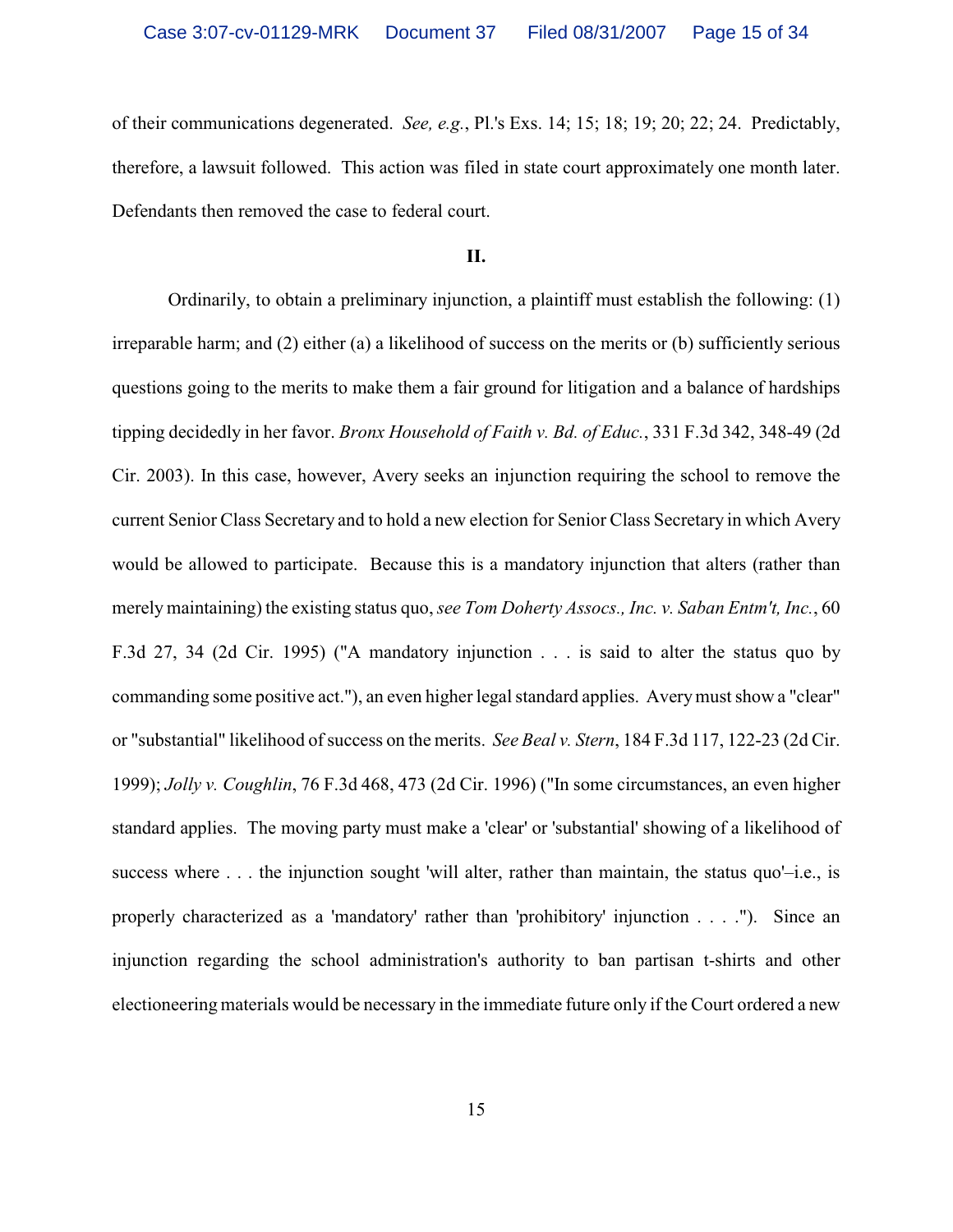of their communications degenerated. *See, e.g.*, Pl.'s Exs. 14; 15; 18; 19; 20; 22; 24. Predictably, therefore, a lawsuit followed. This action was filed in state court approximately one month later. Defendants then removed the case to federal court.

### **II.**

Ordinarily, to obtain a preliminary injunction, a plaintiff must establish the following: (1) irreparable harm; and (2) either (a) a likelihood of success on the merits or (b) sufficiently serious questions going to the merits to make them a fair ground for litigation and a balance of hardships tipping decidedly in her favor. *Bronx Household of Faith v. Bd. of Educ.*, 331 F.3d 342, 348-49 (2d Cir. 2003). In this case, however, Avery seeks an injunction requiring the school to remove the current Senior Class Secretary and to hold a new election for Senior Class Secretary in which Avery would be allowed to participate. Because this is a mandatory injunction that alters (rather than merely maintaining) the existing status quo, *see Tom Doherty Assocs., Inc. v. Saban Entm't, Inc.*, 60 F.3d 27, 34 (2d Cir. 1995) ("A mandatory injunction . . . is said to alter the status quo by commanding some positive act."), an even higher legal standard applies. Avery must show a "clear" or "substantial" likelihood of success on the merits. *See Beal v. Stern*, 184 F.3d 117, 122-23 (2d Cir. 1999); *Jolly v. Coughlin*, 76 F.3d 468, 473 (2d Cir. 1996) ("In some circumstances, an even higher standard applies. The moving party must make a 'clear' or 'substantial' showing of a likelihood of success where . . . the injunction sought 'will alter, rather than maintain, the status quo'-i.e., is properly characterized as a 'mandatory' rather than 'prohibitory' injunction . . . ."). Since an injunction regarding the school administration's authority to ban partisan t-shirts and other electioneering materials would be necessary in the immediate future only if the Court ordered a new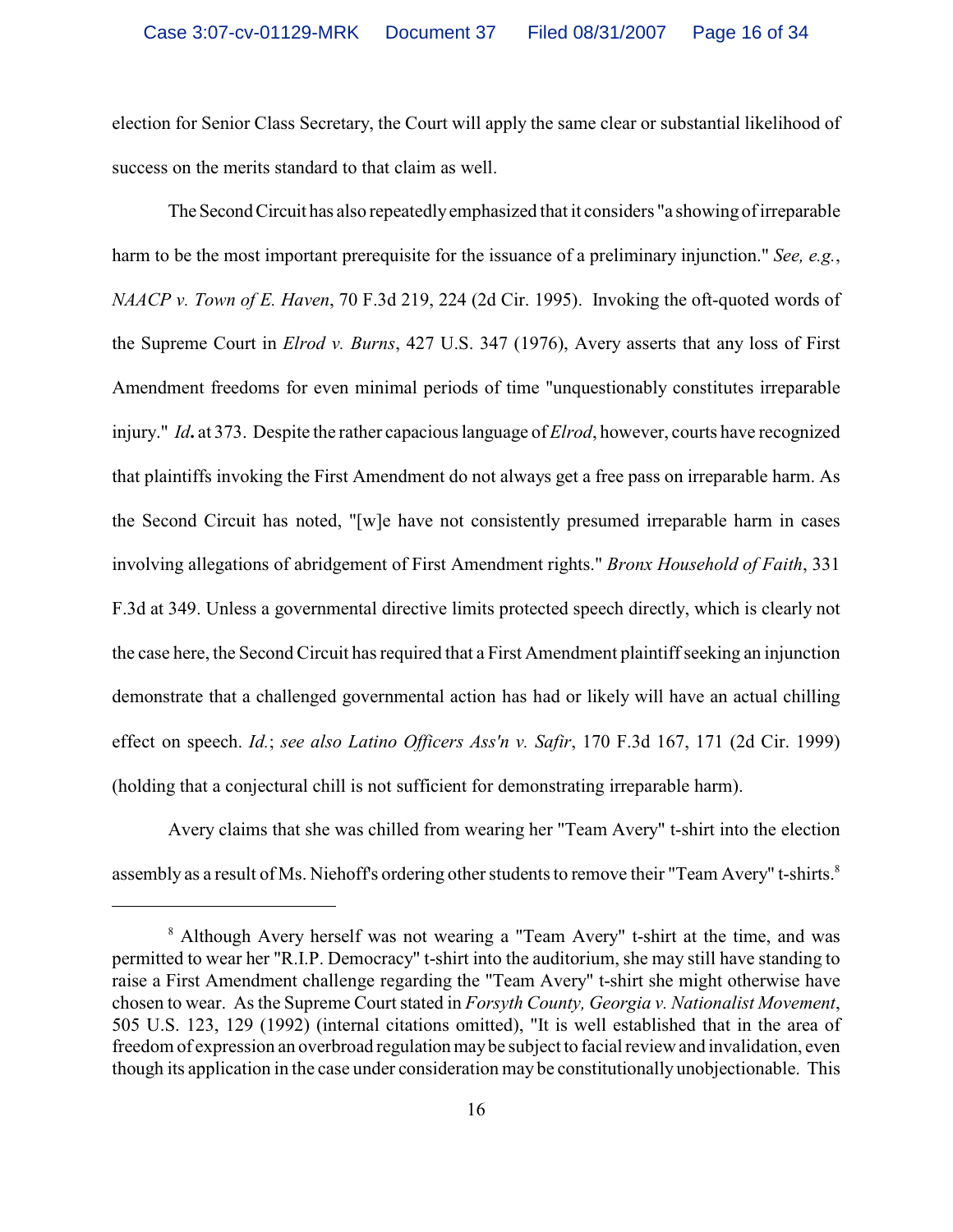election for Senior Class Secretary, the Court will apply the same clear or substantial likelihood of success on the merits standard to that claim as well.

The Second Circuit has also repeatedly emphasized that it considers "a showing of irreparable harm to be the most important prerequisite for the issuance of a preliminary injunction." *See, e.g.*, *NAACP v. Town of E. Haven*, 70 F.3d 219, 224 (2d Cir. 1995). Invoking the oft-quoted words of the Supreme Court in *Elrod v. Burns*, 427 U.S. 347 (1976), Avery asserts that any loss of First Amendment freedoms for even minimal periods of time "unquestionably constitutes irreparable injury." *Id***.** at 373. Despite the rather capacious language of *Elrod*, however, courts have recognized that plaintiffs invoking the First Amendment do not always get a free pass on irreparable harm. As the Second Circuit has noted, "[w]e have not consistently presumed irreparable harm in cases involving allegations of abridgement of First Amendment rights." *Bronx Household of Faith*, 331 F.3d at 349. Unless a governmental directive limits protected speech directly, which is clearly not the case here, the Second Circuit has required that a First Amendment plaintiff seeking an injunction demonstrate that a challenged governmental action has had or likely will have an actual chilling effect on speech. *Id.*; *see also Latino Officers Ass'n v. Safir*, 170 F.3d 167, 171 (2d Cir. 1999) (holding that a conjectural chill is not sufficient for demonstrating irreparable harm).

Avery claims that she was chilled from wearing her "Team Avery" t-shirt into the election assembly as a result of Ms. Niehoff's ordering other students to remove their "Team Avery" t-shirts.<sup>8</sup>

<sup>&</sup>lt;sup>8</sup> Although Avery herself was not wearing a "Team Avery" t-shirt at the time, and was permitted to wear her "R.I.P. Democracy" t-shirt into the auditorium, she may still have standing to raise a First Amendment challenge regarding the "Team Avery" t-shirt she might otherwise have chosen to wear. As the Supreme Court stated in *Forsyth County, Georgia v. Nationalist Movement*, 505 U.S. 123, 129 (1992) (internal citations omitted), "It is well established that in the area of freedom of expression an overbroad regulation may be subject to facial review and invalidation, even though its application in the case under consideration may be constitutionally unobjectionable. This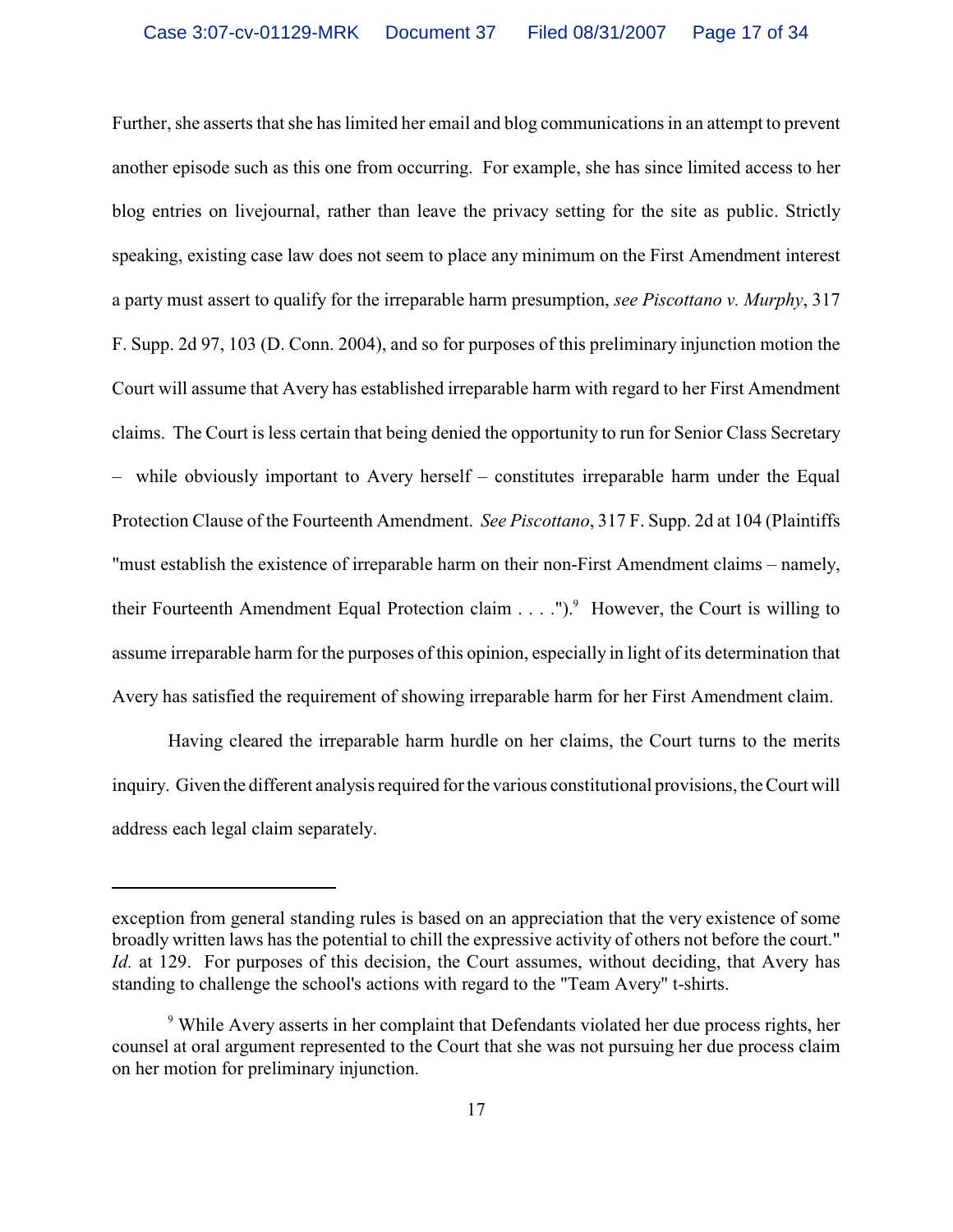Further, she asserts that she has limited her email and blog communications in an attempt to prevent another episode such as this one from occurring. For example, she has since limited access to her blog entries on livejournal, rather than leave the privacy setting for the site as public. Strictly speaking, existing case law does not seem to place any minimum on the First Amendment interest a party must assert to qualify for the irreparable harm presumption, *see Piscottano v. Murphy*, 317 F. Supp. 2d 97, 103 (D. Conn. 2004), and so for purposes of this preliminary injunction motion the Court will assume that Avery has established irreparable harm with regard to her First Amendment claims. The Court is less certain that being denied the opportunity to run for Senior Class Secretary – while obviously important to Avery herself – constitutes irreparable harm under the Equal Protection Clause of the Fourteenth Amendment. *See Piscottano*, 317 F. Supp. 2d at 104 (Plaintiffs "must establish the existence of irreparable harm on their non-First Amendment claims – namely, their Fourteenth Amendment Equal Protection claim  $\ldots$ .").<sup>9</sup> However, the Court is willing to assume irreparable harm for the purposes of this opinion, especially in light of its determination that Avery has satisfied the requirement of showing irreparable harm for her First Amendment claim.

Having cleared the irreparable harm hurdle on her claims, the Court turns to the merits inquiry. Given the different analysis required for the various constitutional provisions, the Court will address each legal claim separately.

exception from general standing rules is based on an appreciation that the very existence of some broadly written laws has the potential to chill the expressive activity of others not before the court." *Id.* at 129. For purposes of this decision, the Court assumes, without deciding, that Avery has standing to challenge the school's actions with regard to the "Team Avery" t-shirts.

<sup>&</sup>lt;sup>9</sup> While Avery asserts in her complaint that Defendants violated her due process rights, her counsel at oral argument represented to the Court that she was not pursuing her due process claim on her motion for preliminary injunction.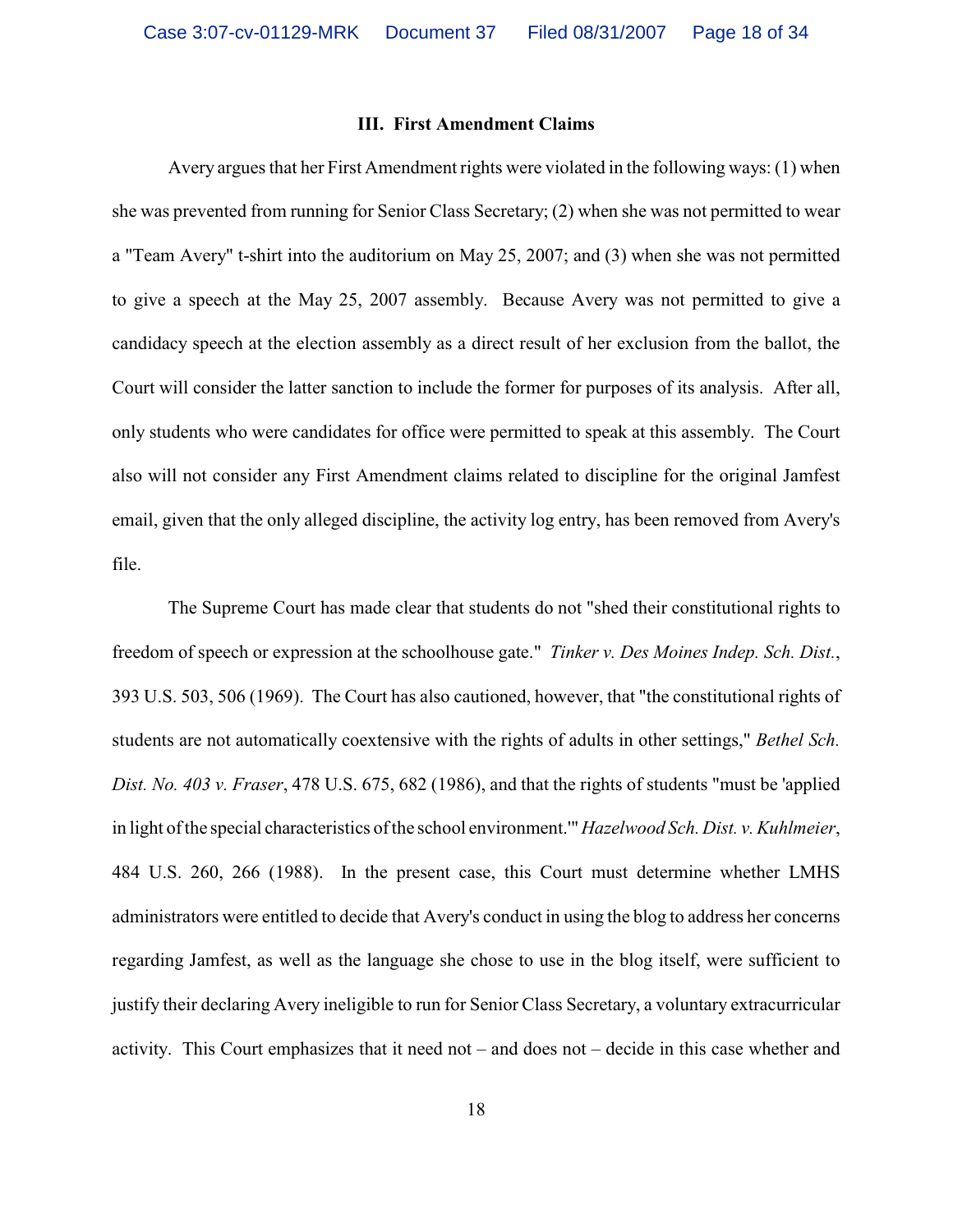#### **III. First Amendment Claims**

Avery argues that her First Amendment rights were violated in the following ways: (1) when she was prevented from running for Senior Class Secretary; (2) when she was not permitted to wear a "Team Avery" t-shirt into the auditorium on May 25, 2007; and (3) when she was not permitted to give a speech at the May 25, 2007 assembly. Because Avery was not permitted to give a candidacy speech at the election assembly as a direct result of her exclusion from the ballot, the Court will consider the latter sanction to include the former for purposes of its analysis. After all, only students who were candidates for office were permitted to speak at this assembly. The Court also will not consider any First Amendment claims related to discipline for the original Jamfest email, given that the only alleged discipline, the activity log entry, has been removed from Avery's file.

The Supreme Court has made clear that students do not "shed their constitutional rights to freedom of speech or expression at the schoolhouse gate." *Tinker v. Des Moines Indep. Sch. Dist.*, 393 U.S. 503, 506 (1969). The Court has also cautioned, however, that "the constitutional rights of students are not automatically coextensive with the rights of adults in other settings," *Bethel Sch. Dist. No. 403 v. Fraser*, 478 U.S. 675, 682 (1986), and that the rights of students "must be 'applied in light of the special characteristics of the school environment.'" *Hazelwood Sch. Dist. v. Kuhlmeier*, 484 U.S. 260, 266 (1988). In the present case, this Court must determine whether LMHS administrators were entitled to decide that Avery's conduct in using the blog to address her concerns regarding Jamfest, as well as the language she chose to use in the blog itself, were sufficient to justify their declaring Avery ineligible to run for Senior Class Secretary, a voluntary extracurricular activity. This Court emphasizes that it need not – and does not – decide in this case whether and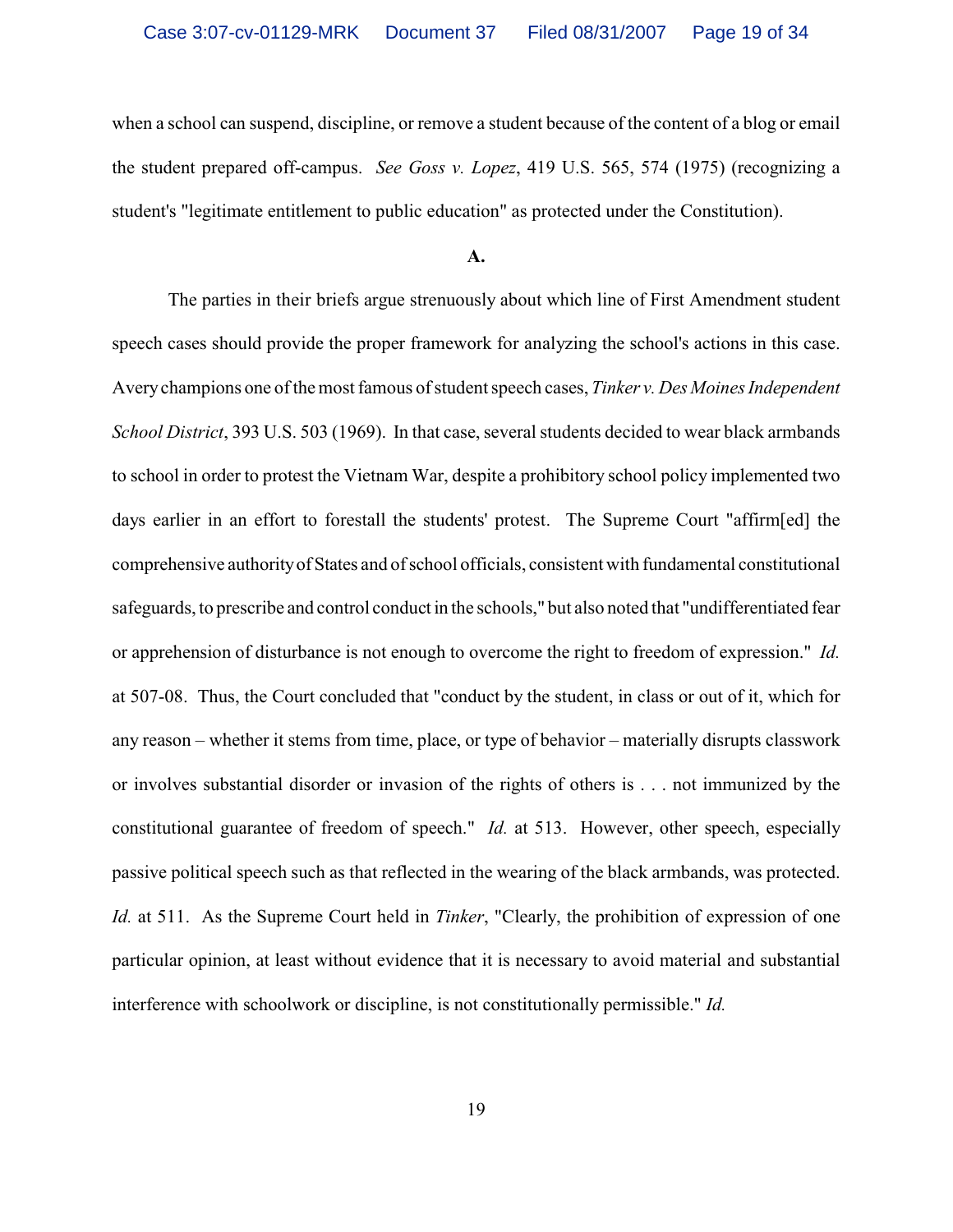when a school can suspend, discipline, or remove a student because of the content of a blog or email the student prepared off-campus. *See Goss v. Lopez*, 419 U.S. 565, 574 (1975) (recognizing a student's "legitimate entitlement to public education" as protected under the Constitution).

#### **A.**

The parties in their briefs argue strenuously about which line of First Amendment student speech cases should provide the proper framework for analyzing the school's actions in this case. Averychampions one of the most famous of student speech cases, *Tinker v. Des Moines Independent School District*, 393 U.S. 503 (1969). In that case, several students decided to wear black armbands to school in order to protest the Vietnam War, despite a prohibitory school policy implemented two days earlier in an effort to forestall the students' protest. The Supreme Court "affirm[ed] the comprehensive authority of States and of school officials, consistent with fundamental constitutional safeguards, to prescribe and control conduct in the schools," but also noted that "undifferentiated fear or apprehension of disturbance is not enough to overcome the right to freedom of expression." *Id.* at 507-08. Thus, the Court concluded that "conduct by the student, in class or out of it, which for any reason – whether it stems from time, place, or type of behavior – materially disrupts classwork or involves substantial disorder or invasion of the rights of others is . . . not immunized by the constitutional guarantee of freedom of speech." *Id.* at 513. However, other speech, especially passive political speech such as that reflected in the wearing of the black armbands, was protected. *Id.* at 511. As the Supreme Court held in *Tinker*, "Clearly, the prohibition of expression of one particular opinion, at least without evidence that it is necessary to avoid material and substantial interference with schoolwork or discipline, is not constitutionally permissible." *Id.*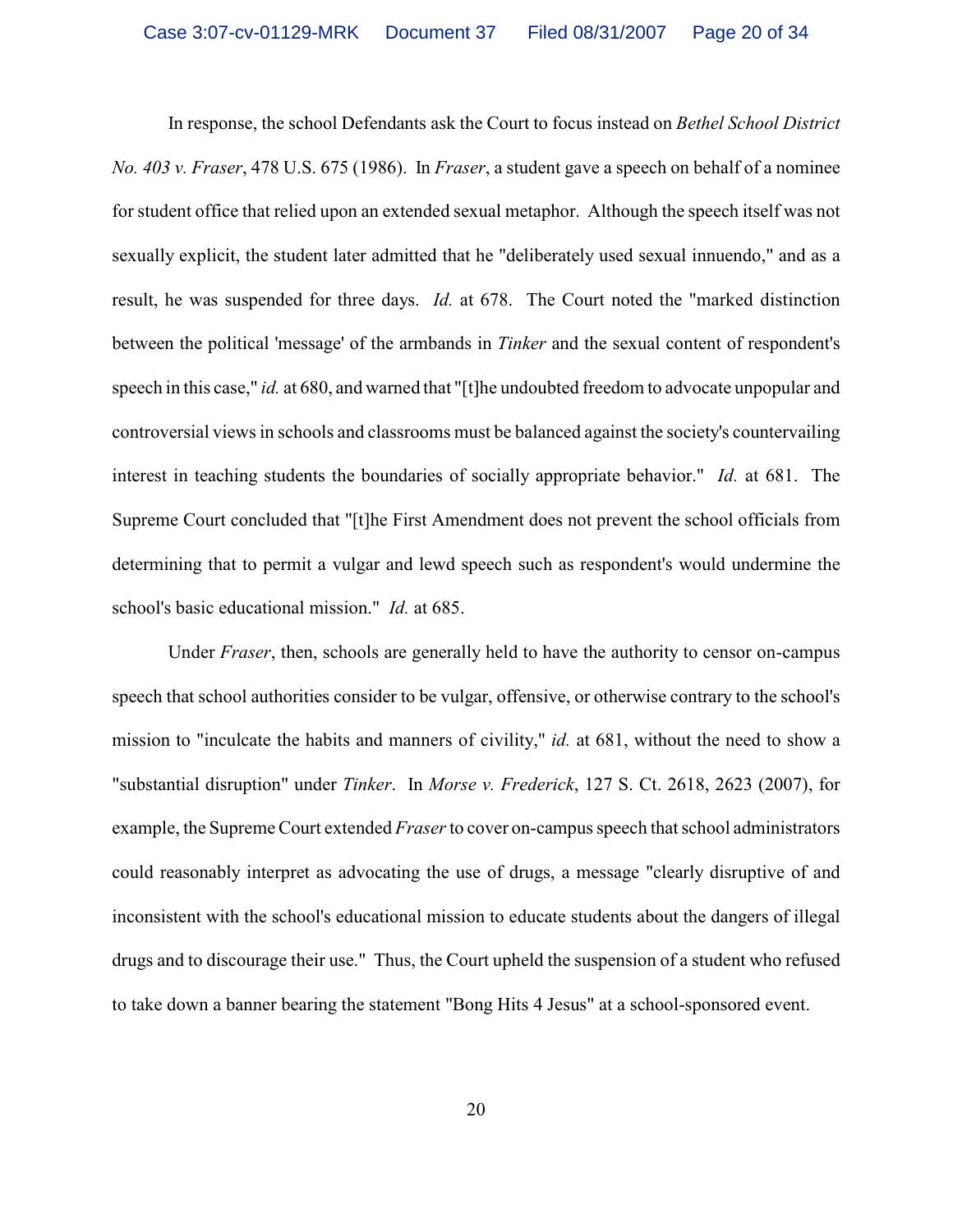In response, the school Defendants ask the Court to focus instead on *Bethel School District No. 403 v. Fraser*, 478 U.S. 675 (1986). In *Fraser*, a student gave a speech on behalf of a nominee for student office that relied upon an extended sexual metaphor. Although the speech itself was not sexually explicit, the student later admitted that he "deliberately used sexual innuendo," and as a result, he was suspended for three days. *Id.* at 678. The Court noted the "marked distinction between the political 'message' of the armbands in *Tinker* and the sexual content of respondent's speech in this case," *id.* at 680, and warned that "[t]he undoubted freedom to advocate unpopular and controversial views in schools and classrooms must be balanced against the society's countervailing interest in teaching students the boundaries of socially appropriate behavior." *Id.* at 681. The Supreme Court concluded that "[t]he First Amendment does not prevent the school officials from determining that to permit a vulgar and lewd speech such as respondent's would undermine the school's basic educational mission." *Id.* at 685.

Under *Fraser*, then, schools are generally held to have the authority to censor on-campus speech that school authorities consider to be vulgar, offensive, or otherwise contrary to the school's mission to "inculcate the habits and manners of civility," *id.* at 681, without the need to show a "substantial disruption" under *Tinker*. In *Morse v. Frederick*, 127 S. Ct. 2618, 2623 (2007), for example, the Supreme Court extended *Fraser*to cover on-campus speech that school administrators could reasonably interpret as advocating the use of drugs, a message "clearly disruptive of and inconsistent with the school's educational mission to educate students about the dangers of illegal drugs and to discourage their use." Thus, the Court upheld the suspension of a student who refused to take down a banner bearing the statement "Bong Hits 4 Jesus" at a school-sponsored event.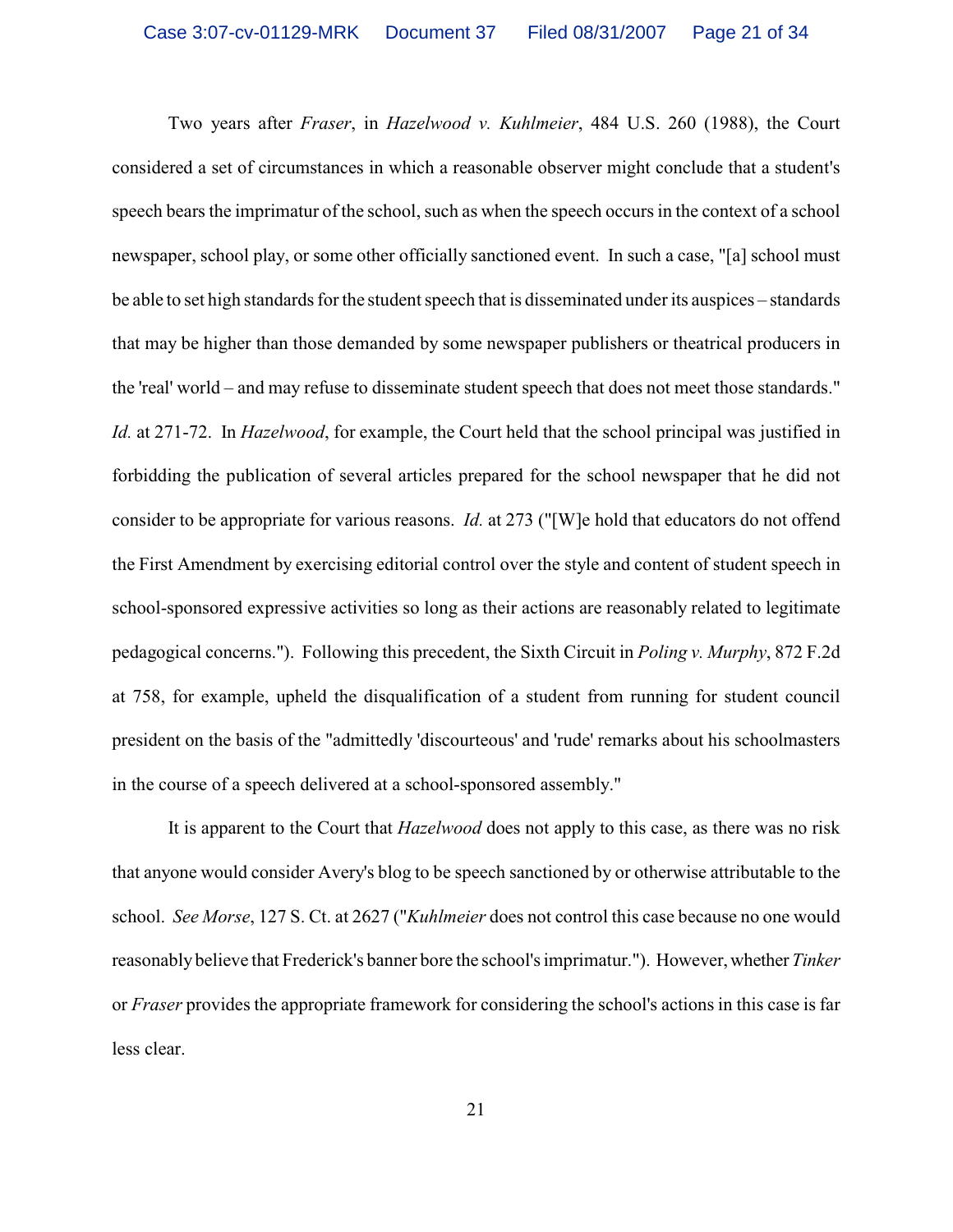Two years after *Fraser*, in *Hazelwood v. Kuhlmeier*, 484 U.S. 260 (1988), the Court considered a set of circumstances in which a reasonable observer might conclude that a student's speech bears the imprimatur of the school, such as when the speech occurs in the context of a school newspaper, school play, or some other officially sanctioned event. In such a case, "[a] school must be able to set high standards for the student speech that is disseminated under its auspices – standards that may be higher than those demanded by some newspaper publishers or theatrical producers in the 'real' world – and may refuse to disseminate student speech that does not meet those standards." *Id.* at 271-72. In *Hazelwood*, for example, the Court held that the school principal was justified in forbidding the publication of several articles prepared for the school newspaper that he did not consider to be appropriate for various reasons. *Id.* at 273 ("[W]e hold that educators do not offend the First Amendment by exercising editorial control over the style and content of student speech in school-sponsored expressive activities so long as their actions are reasonably related to legitimate pedagogical concerns."). Following this precedent, the Sixth Circuit in *Poling v. Murphy*, 872 F.2d at 758, for example, upheld the disqualification of a student from running for student council president on the basis of the "admittedly 'discourteous' and 'rude' remarks about his schoolmasters in the course of a speech delivered at a school-sponsored assembly."

It is apparent to the Court that *Hazelwood* does not apply to this case, as there was no risk that anyone would consider Avery's blog to be speech sanctioned by or otherwise attributable to the school. *See Morse*, 127 S. Ct. at 2627 ("*Kuhlmeier* does not control this case because no one would reasonably believe that Frederick's banner bore the school's imprimatur."). However, whether *Tinker* or *Fraser* provides the appropriate framework for considering the school's actions in this case is far less clear.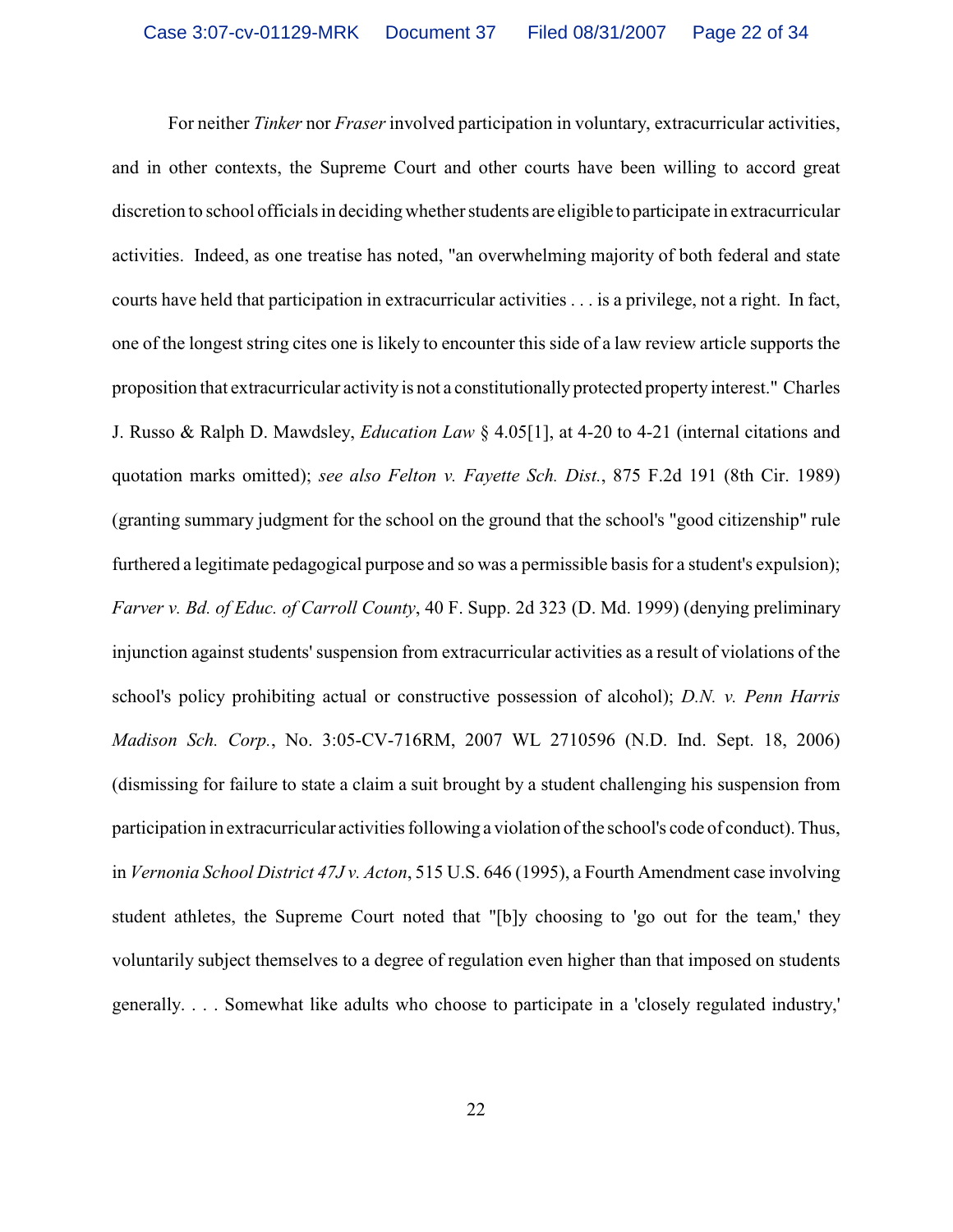For neither *Tinker* nor *Fraser* involved participation in voluntary, extracurricular activities, and in other contexts, the Supreme Court and other courts have been willing to accord great discretion to school officials in deciding whether students are eligible to participate in extracurricular activities. Indeed, as one treatise has noted, "an overwhelming majority of both federal and state courts have held that participation in extracurricular activities . . . is a privilege, not a right. In fact, one of the longest string cites one is likely to encounter this side of a law review article supports the proposition that extracurricular activity is not a constitutionally protected property interest." Charles J. Russo & Ralph D. Mawdsley, *Education Law* § 4.05[1], at 4-20 to 4-21 (internal citations and quotation marks omitted); *see also Felton v. Fayette Sch. Dist.*, 875 F.2d 191 (8th Cir. 1989) (granting summary judgment for the school on the ground that the school's "good citizenship" rule furthered a legitimate pedagogical purpose and so was a permissible basis for a student's expulsion); *Farver v. Bd. of Educ. of Carroll County*, 40 F. Supp. 2d 323 (D. Md. 1999) (denying preliminary injunction against students' suspension from extracurricular activities as a result of violations of the school's policy prohibiting actual or constructive possession of alcohol); *D.N. v. Penn Harris Madison Sch. Corp.*, No. 3:05-CV-716RM, 2007 WL 2710596 (N.D. Ind. Sept. 18, 2006) (dismissing for failure to state a claim a suit brought by a student challenging his suspension from participation in extracurricular activities following a violation of the school's code of conduct). Thus, in *Vernonia School District 47J v. Acton*, 515 U.S. 646 (1995), a Fourth Amendment case involving student athletes, the Supreme Court noted that "[b]y choosing to 'go out for the team,' they voluntarily subject themselves to a degree of regulation even higher than that imposed on students generally. . . . Somewhat like adults who choose to participate in a 'closely regulated industry,'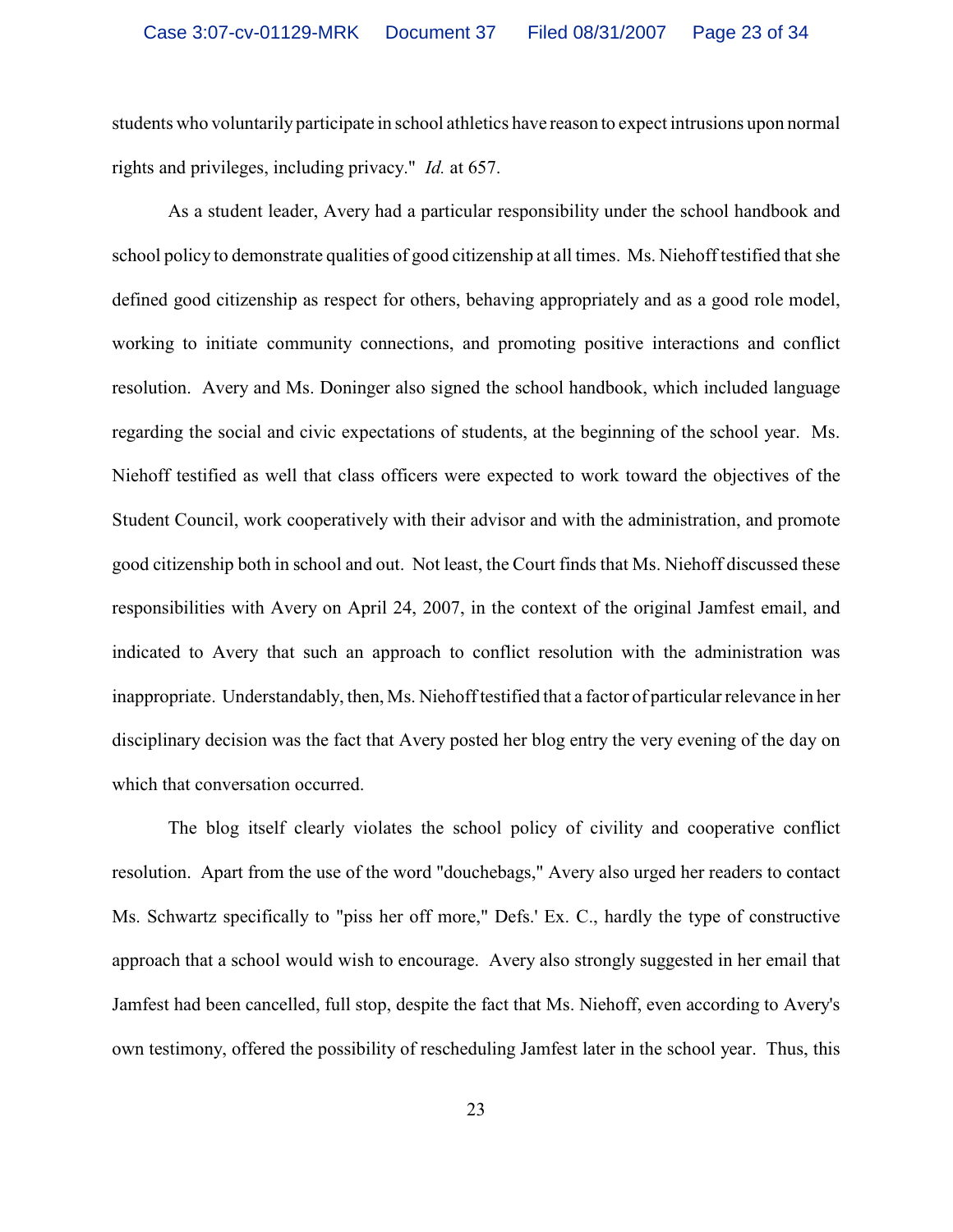students who voluntarily participate in school athletics have reason to expect intrusions upon normal rights and privileges, including privacy." *Id.* at 657.

As a student leader, Avery had a particular responsibility under the school handbook and school policy to demonstrate qualities of good citizenship at all times. Ms. Niehoff testified that she defined good citizenship as respect for others, behaving appropriately and as a good role model, working to initiate community connections, and promoting positive interactions and conflict resolution. Avery and Ms. Doninger also signed the school handbook, which included language regarding the social and civic expectations of students, at the beginning of the school year. Ms. Niehoff testified as well that class officers were expected to work toward the objectives of the Student Council, work cooperatively with their advisor and with the administration, and promote good citizenship both in school and out. Not least, the Court finds that Ms. Niehoff discussed these responsibilities with Avery on April 24, 2007, in the context of the original Jamfest email, and indicated to Avery that such an approach to conflict resolution with the administration was inappropriate. Understandably, then, Ms. Niehoff testified that a factor of particular relevance in her disciplinary decision was the fact that Avery posted her blog entry the very evening of the day on which that conversation occurred.

The blog itself clearly violates the school policy of civility and cooperative conflict resolution. Apart from the use of the word "douchebags," Avery also urged her readers to contact Ms. Schwartz specifically to "piss her off more," Defs.' Ex. C., hardly the type of constructive approach that a school would wish to encourage. Avery also strongly suggested in her email that Jamfest had been cancelled, full stop, despite the fact that Ms. Niehoff, even according to Avery's own testimony, offered the possibility of rescheduling Jamfest later in the school year. Thus, this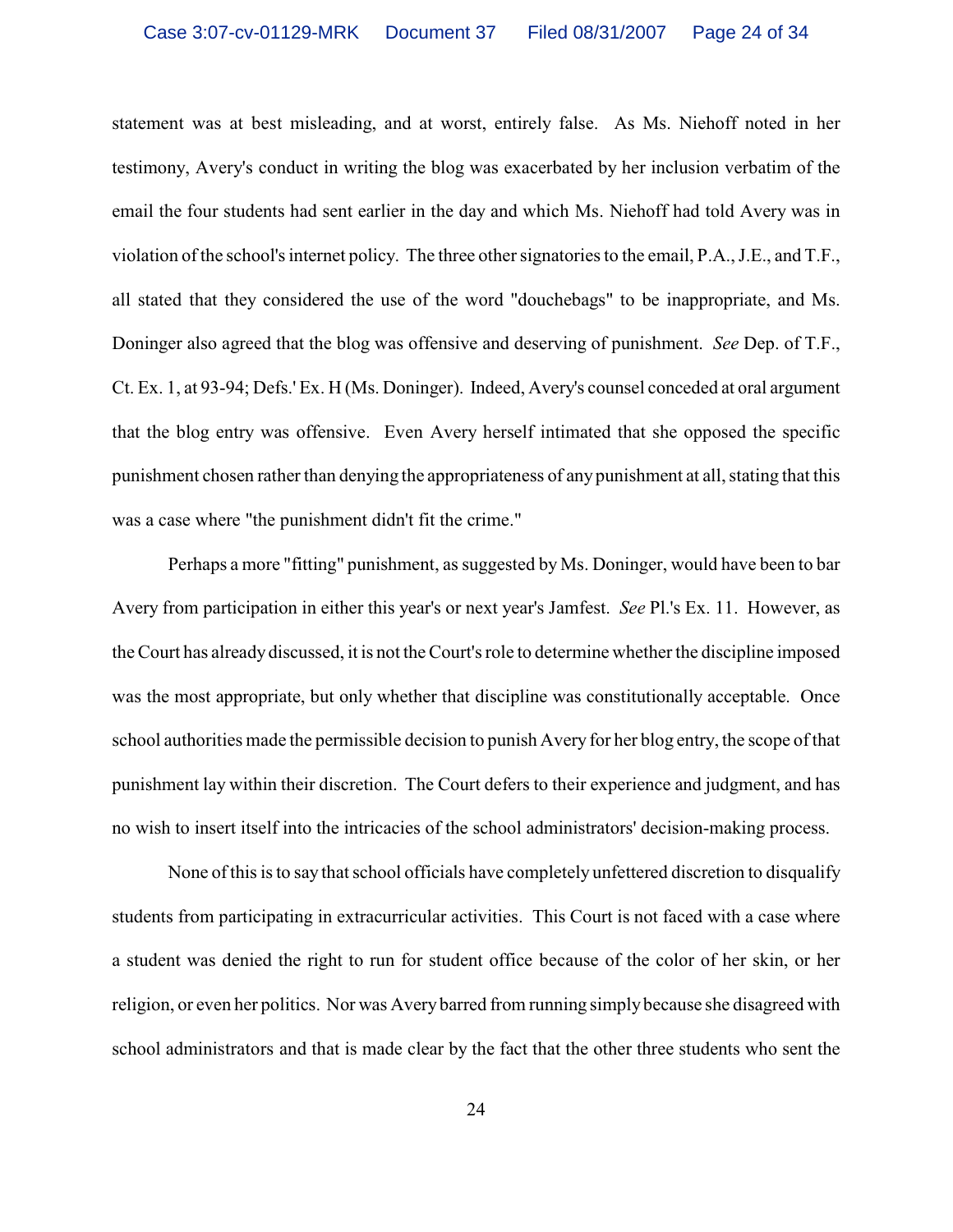statement was at best misleading, and at worst, entirely false. As Ms. Niehoff noted in her testimony, Avery's conduct in writing the blog was exacerbated by her inclusion verbatim of the email the four students had sent earlier in the day and which Ms. Niehoff had told Avery was in violation of the school's internet policy. The three othersignatories to the email, P.A., J.E., and T.F., all stated that they considered the use of the word "douchebags" to be inappropriate, and Ms. Doninger also agreed that the blog was offensive and deserving of punishment. *See* Dep. of T.F., Ct. Ex. 1, at 93-94; Defs.' Ex. H (Ms. Doninger). Indeed, Avery's counsel conceded at oral argument that the blog entry was offensive. Even Avery herself intimated that she opposed the specific punishment chosen rather than denying the appropriateness of any punishment at all, stating that this was a case where "the punishment didn't fit the crime."

Perhaps a more "fitting" punishment, as suggested by Ms. Doninger, would have been to bar Avery from participation in either this year's or next year's Jamfest. *See* Pl.'s Ex. 11. However, as the Court has already discussed, it is not the Court's role to determine whether the discipline imposed was the most appropriate, but only whether that discipline was constitutionally acceptable. Once school authorities made the permissible decision to punish Avery for her blog entry, the scope of that punishment lay within their discretion. The Court defers to their experience and judgment, and has no wish to insert itself into the intricacies of the school administrators' decision-making process.

None of this is to say that school officials have completely unfettered discretion to disqualify students from participating in extracurricular activities. This Court is not faced with a case where a student was denied the right to run for student office because of the color of her skin, or her religion, or even her politics. Nor was Avery barred from running simply because she disagreed with school administrators and that is made clear by the fact that the other three students who sent the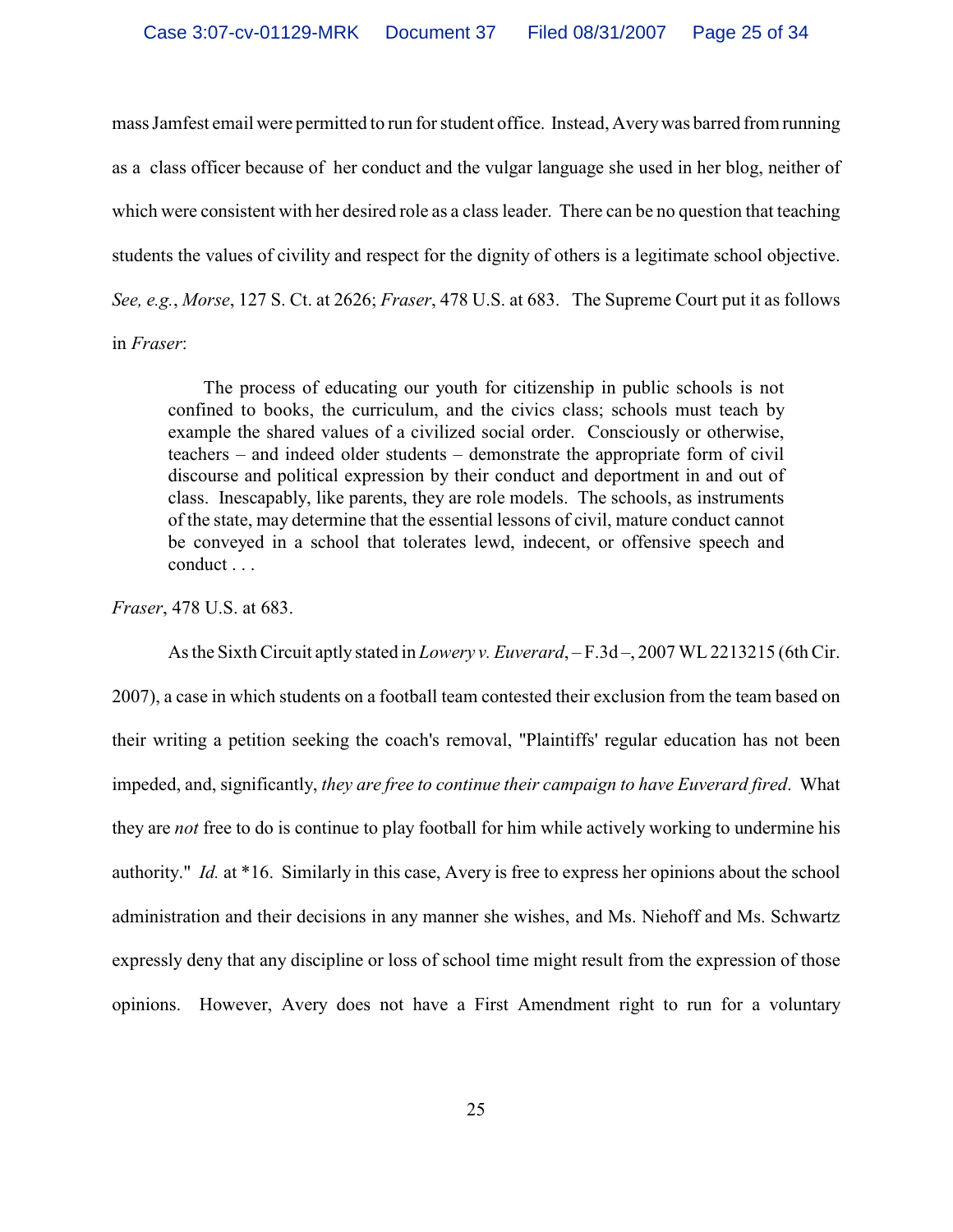mass Jamfest email were permitted to run for student office. Instead, Averywas barred from running as a class officer because of her conduct and the vulgar language she used in her blog, neither of which were consistent with her desired role as a class leader. There can be no question that teaching students the values of civility and respect for the dignity of others is a legitimate school objective. *See, e.g.*, *Morse*, 127 S. Ct. at 2626; *Fraser*, 478 U.S. at 683. The Supreme Court put it as follows in *Fraser*:

 The process of educating our youth for citizenship in public schools is not confined to books, the curriculum, and the civics class; schools must teach by example the shared values of a civilized social order. Consciously or otherwise, teachers – and indeed older students – demonstrate the appropriate form of civil discourse and political expression by their conduct and deportment in and out of class. Inescapably, like parents, they are role models. The schools, as instruments of the state, may determine that the essential lessons of civil, mature conduct cannot be conveyed in a school that tolerates lewd, indecent, or offensive speech and conduct . . .

*Fraser*, 478 U.S. at 683.

As the Sixth Circuit aptly stated in *Lowery v. Euverard*, – F.3d –, 2007 WL 2213215 (6th Cir. 2007), a case in which students on a football team contested their exclusion from the team based on their writing a petition seeking the coach's removal, "Plaintiffs' regular education has not been impeded, and, significantly, *they are free to continue their campaign to have Euverard fired*. What they are *not* free to do is continue to play football for him while actively working to undermine his authority." *Id.* at \*16. Similarly in this case, Avery is free to express her opinions about the school administration and their decisions in any manner she wishes, and Ms. Niehoff and Ms. Schwartz expressly deny that any discipline or loss of school time might result from the expression of those opinions. However, Avery does not have a First Amendment right to run for a voluntary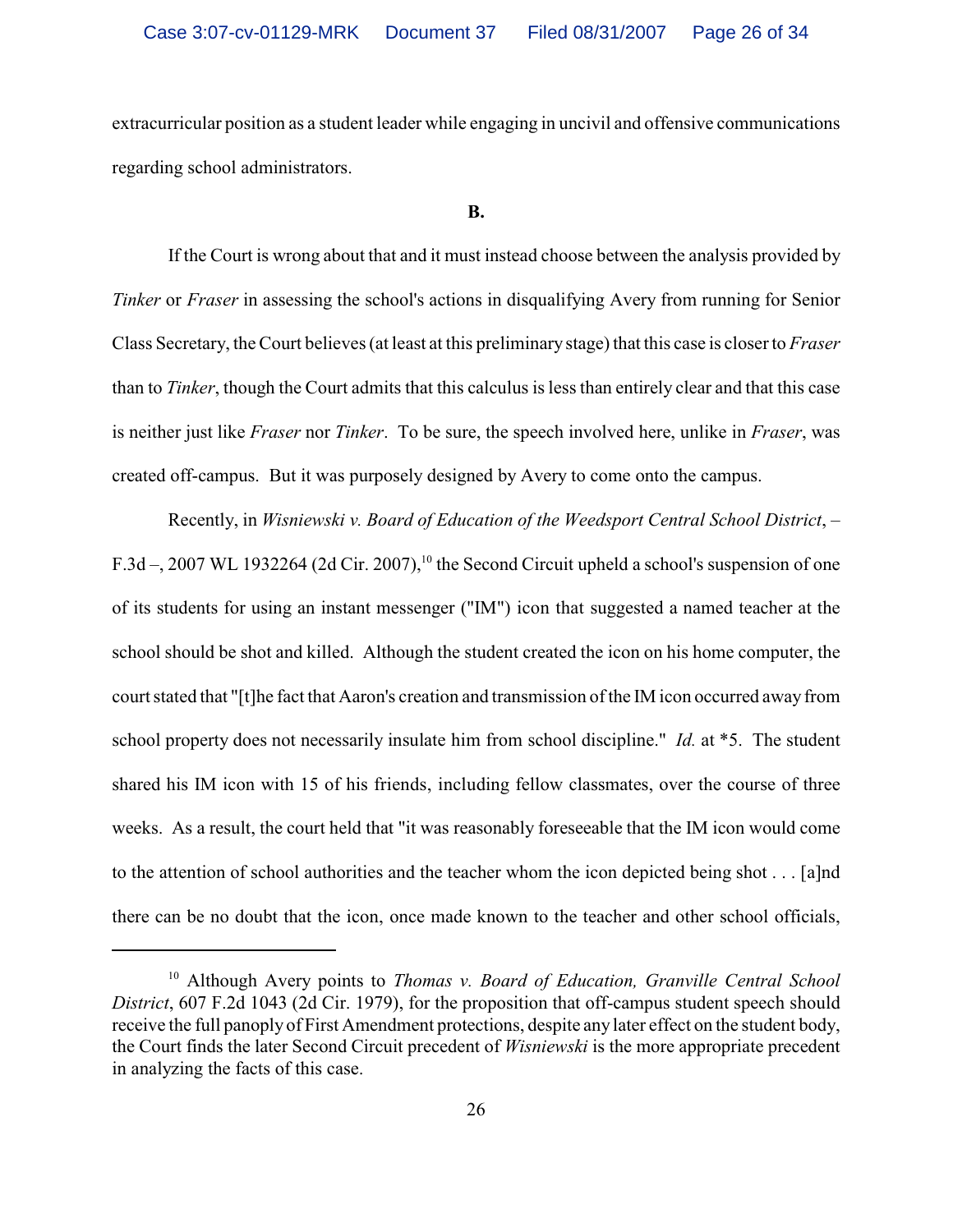extracurricular position as a student leader while engaging in uncivil and offensive communications regarding school administrators.

#### **B.**

If the Court is wrong about that and it must instead choose between the analysis provided by *Tinker* or *Fraser* in assessing the school's actions in disqualifying Avery from running for Senior Class Secretary, the Court believes (at least at this preliminary stage) that this case is closer to *Fraser* than to *Tinker*, though the Court admits that this calculus isless than entirely clear and that this case is neither just like *Fraser* nor *Tinker*. To be sure, the speech involved here, unlike in *Fraser*, was created off-campus. But it was purposely designed by Avery to come onto the campus.

Recently, in *Wisniewski v. Board of Education of the Weedsport Central School District*, – F.3d –, 2007 WL 1932264 (2d Cir. 2007),<sup>10</sup> the Second Circuit upheld a school's suspension of one of its students for using an instant messenger ("IM") icon that suggested a named teacher at the school should be shot and killed. Although the student created the icon on his home computer, the court stated that "[t]he fact that Aaron's creation and transmission of the IM icon occurred away from school property does not necessarily insulate him from school discipline." *Id.* at \*5. The student shared his IM icon with 15 of his friends, including fellow classmates, over the course of three weeks. As a result, the court held that "it was reasonably foreseeable that the IM icon would come to the attention of school authorities and the teacher whom the icon depicted being shot . . . [a]nd there can be no doubt that the icon, once made known to the teacher and other school officials,

<sup>&</sup>lt;sup>10</sup> Although Avery points to *Thomas v. Board of Education, Granville Central School District*, 607 F.2d 1043 (2d Cir. 1979), for the proposition that off-campus student speech should receive the full panoply of First Amendment protections, despite any later effect on the student body, the Court finds the later Second Circuit precedent of *Wisniewski* is the more appropriate precedent in analyzing the facts of this case.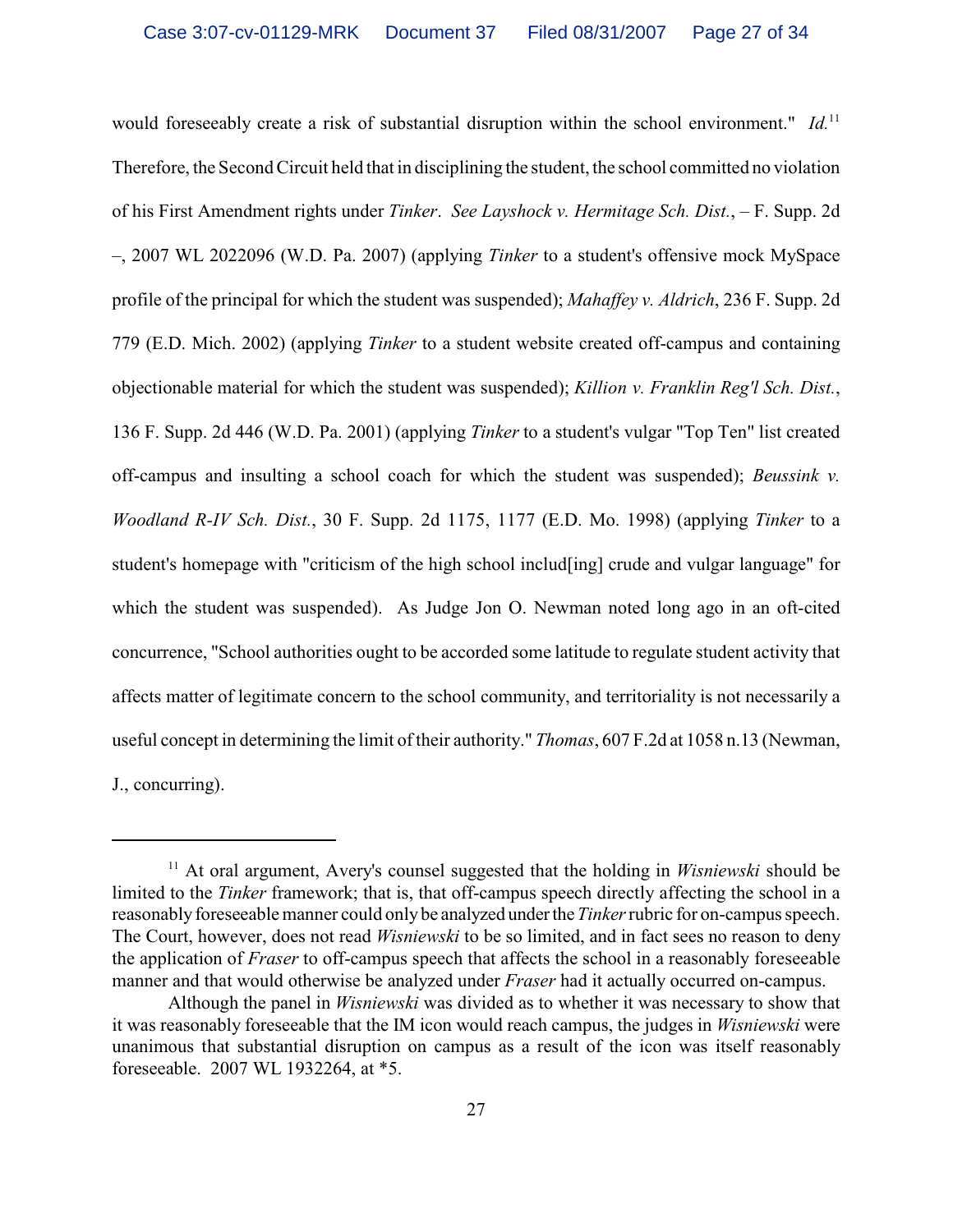would foreseeably create a risk of substantial disruption within the school environment." *Id.*<sup>11</sup> Therefore, the Second Circuit held that in disciplining the student, the school committed no violation of his First Amendment rights under *Tinker*. *See Layshock v. Hermitage Sch. Dist.*, – F. Supp. 2d –, 2007 WL 2022096 (W.D. Pa. 2007) (applying *Tinker* to a student's offensive mock MySpace profile of the principal for which the student was suspended); *Mahaffey v. Aldrich*, 236 F. Supp. 2d 779 (E.D. Mich. 2002) (applying *Tinker* to a student website created off-campus and containing objectionable material for which the student was suspended); *Killion v. Franklin Reg'l Sch. Dist.*, 136 F. Supp. 2d 446 (W.D. Pa. 2001) (applying *Tinker* to a student's vulgar "Top Ten" list created off-campus and insulting a school coach for which the student was suspended); *Beussink v. Woodland R-IV Sch. Dist.*, 30 F. Supp. 2d 1175, 1177 (E.D. Mo. 1998) (applying *Tinker* to a student's homepage with "criticism of the high school includ[ing] crude and vulgar language" for which the student was suspended). As Judge Jon O. Newman noted long ago in an oft-cited concurrence, "School authorities ought to be accorded some latitude to regulate student activity that affects matter of legitimate concern to the school community, and territoriality is not necessarily a useful concept in determining the limit of their authority." *Thomas*, 607 F.2d at 1058 n.13 (Newman, J., concurring).

 $11$  At oral argument, Avery's counsel suggested that the holding in *Wisniewski* should be limited to the *Tinker* framework; that is, that off-campus speech directly affecting the school in a reasonably foreseeable manner could only be analyzed under the *Tinker* rubric for on-campus speech. The Court, however, does not read *Wisniewski* to be so limited, and in fact sees no reason to deny the application of *Fraser* to off-campus speech that affects the school in a reasonably foreseeable manner and that would otherwise be analyzed under *Fraser* had it actually occurred on-campus.

Although the panel in *Wisniewski* was divided as to whether it was necessary to show that it was reasonably foreseeable that the IM icon would reach campus, the judges in *Wisniewski* were unanimous that substantial disruption on campus as a result of the icon was itself reasonably foreseeable. 2007 WL 1932264, at \*5.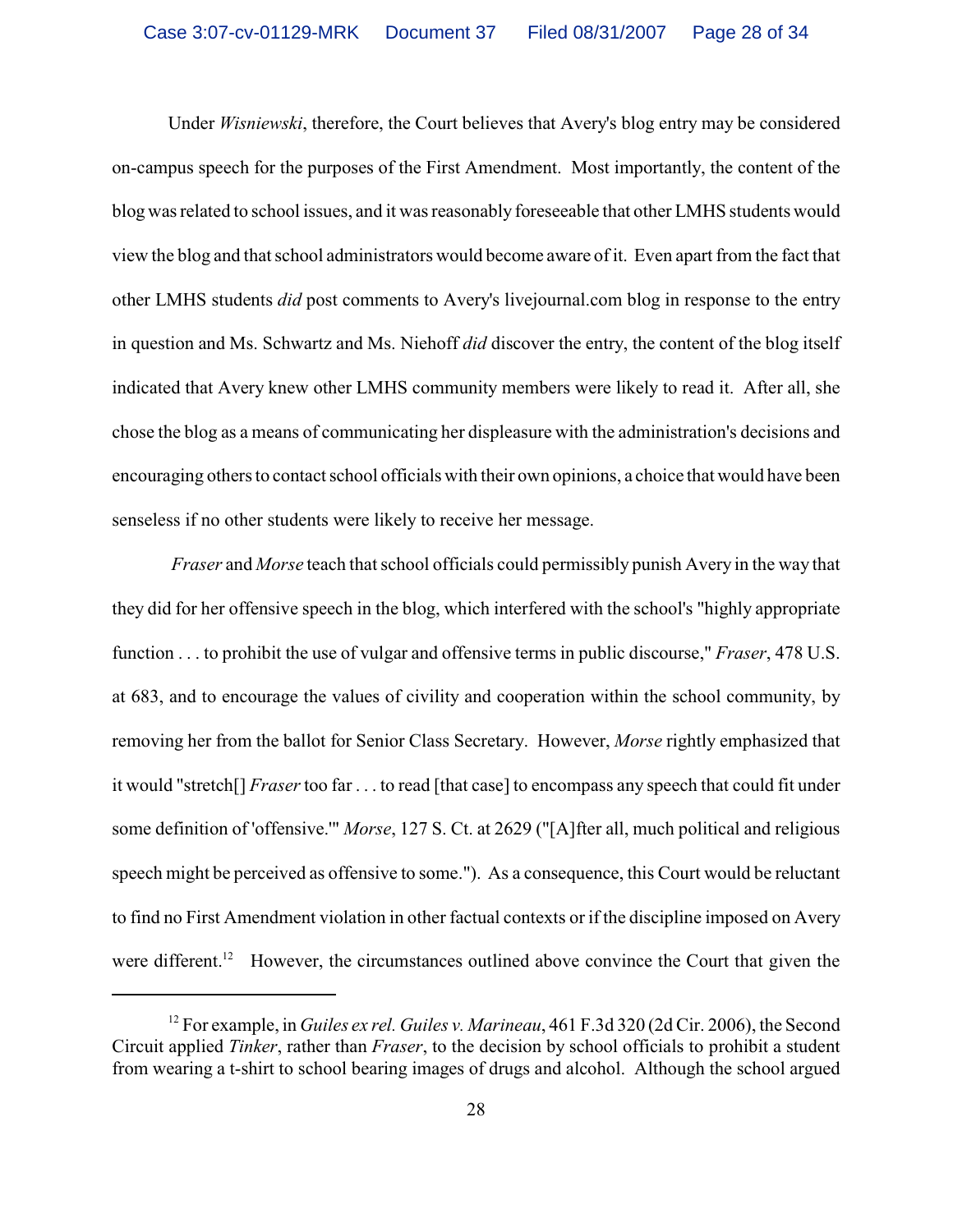Under *Wisniewski*, therefore, the Court believes that Avery's blog entry may be considered on-campus speech for the purposes of the First Amendment. Most importantly, the content of the blog was related to school issues, and it was reasonably foreseeable that other LMHS students would view the blog and that school administrators would become aware of it. Even apart from the fact that other LMHS students *did* post comments to Avery's livejournal.com blog in response to the entry in question and Ms. Schwartz and Ms. Niehoff *did* discover the entry, the content of the blog itself indicated that Avery knew other LMHS community members were likely to read it. After all, she chose the blog as a means of communicating her displeasure with the administration's decisions and encouraging others to contact school officials with their own opinions, a choice that would have been senseless if no other students were likely to receive her message.

*Fraser* and *Morse* teach that school officials could permissibly punish Avery in the way that they did for her offensive speech in the blog, which interfered with the school's "highly appropriate function . . . to prohibit the use of vulgar and offensive terms in public discourse," *Fraser*, 478 U.S. at 683, and to encourage the values of civility and cooperation within the school community, by removing her from the ballot for Senior Class Secretary. However, *Morse* rightly emphasized that it would "stretch[] *Fraser* too far . . . to read [that case] to encompass any speech that could fit under some definition of 'offensive.'" *Morse*, 127 S. Ct. at 2629 ("[A]fter all, much political and religious speech might be perceived as offensive to some."). As a consequence, this Court would be reluctant to find no First Amendment violation in other factual contexts or if the discipline imposed on Avery were different.<sup>12</sup> However, the circumstances outlined above convince the Court that given the

<sup>&</sup>lt;sup>12</sup> For example, in *Guiles ex rel. Guiles v. Marineau*, 461 F.3d 320 (2d Cir. 2006), the Second Circuit applied *Tinker*, rather than *Fraser*, to the decision by school officials to prohibit a student from wearing a t-shirt to school bearing images of drugs and alcohol. Although the school argued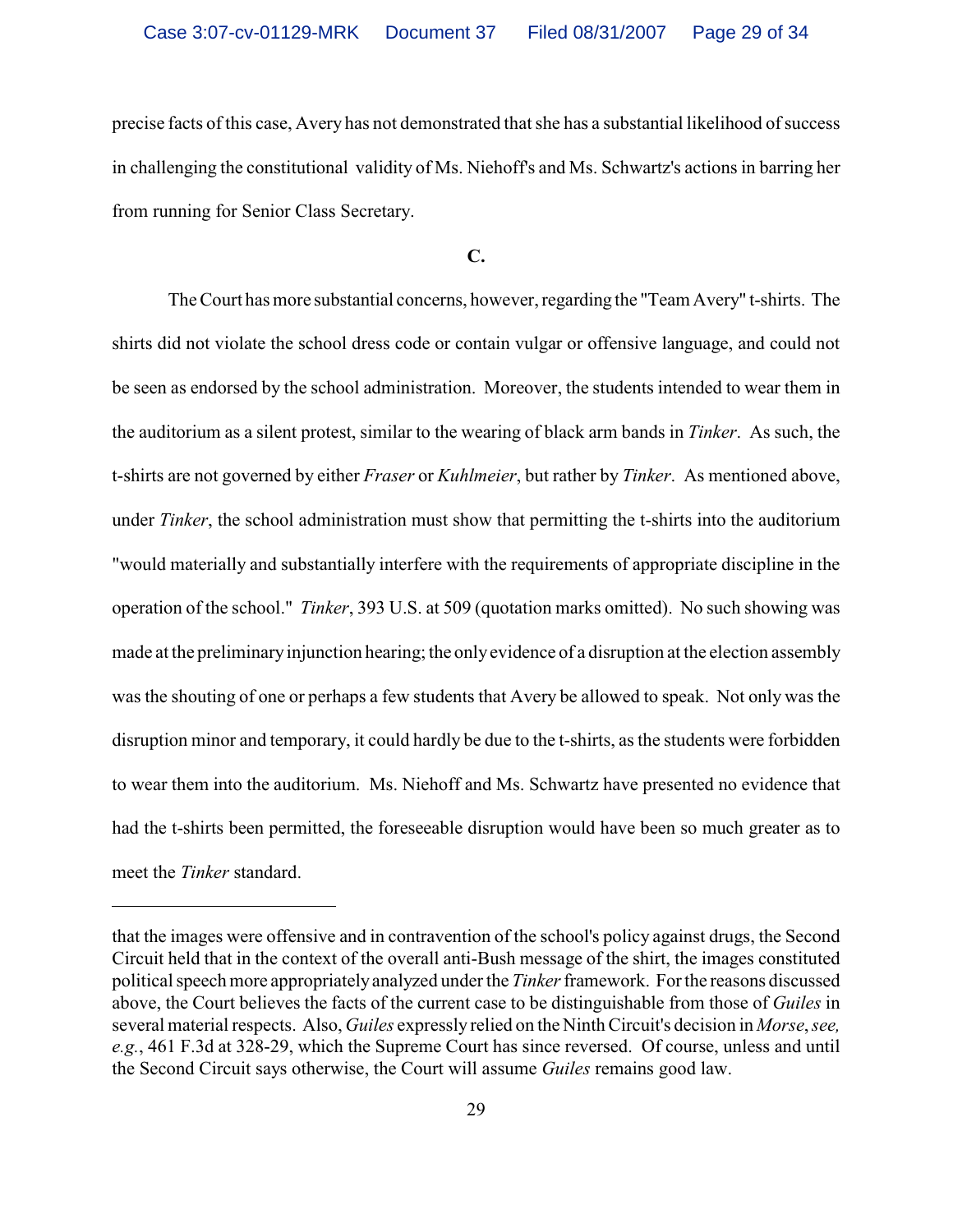precise facts of this case, Avery has not demonstrated that she has a substantial likelihood of success in challenging the constitutional validity of Ms. Niehoff's and Ms. Schwartz's actions in barring her from running for Senior Class Secretary.

## **C.**

The Court has more substantial concerns, however, regarding the "Team Avery" t-shirts. The shirts did not violate the school dress code or contain vulgar or offensive language, and could not be seen as endorsed by the school administration. Moreover, the students intended to wear them in the auditorium as a silent protest, similar to the wearing of black arm bands in *Tinker*. As such, the t-shirts are not governed by either *Fraser* or *Kuhlmeier*, but rather by *Tinker*. As mentioned above, under *Tinker*, the school administration must show that permitting the t-shirts into the auditorium "would materially and substantially interfere with the requirements of appropriate discipline in the operation of the school." *Tinker*, 393 U.S. at 509 (quotation marks omitted). No such showing was made at the preliminaryinjunction hearing; the onlyevidence of a disruption at the election assembly was the shouting of one or perhaps a few students that Avery be allowed to speak. Not only was the disruption minor and temporary, it could hardly be due to the t-shirts, as the students were forbidden to wear them into the auditorium. Ms. Niehoff and Ms. Schwartz have presented no evidence that had the t-shirts been permitted, the foreseeable disruption would have been so much greater as to meet the *Tinker* standard.

that the images were offensive and in contravention of the school's policy against drugs, the Second Circuit held that in the context of the overall anti-Bush message of the shirt, the images constituted political speech more appropriately analyzed under the *Tinker* framework. For the reasons discussed above, the Court believes the facts of the current case to be distinguishable from those of *Guiles* in several material respects. Also, *Guiles* expressly relied on the Ninth Circuit's decision in *Morse*, *see, e.g.*, 461 F.3d at 328-29, which the Supreme Court has since reversed. Of course, unless and until the Second Circuit says otherwise, the Court will assume *Guiles* remains good law.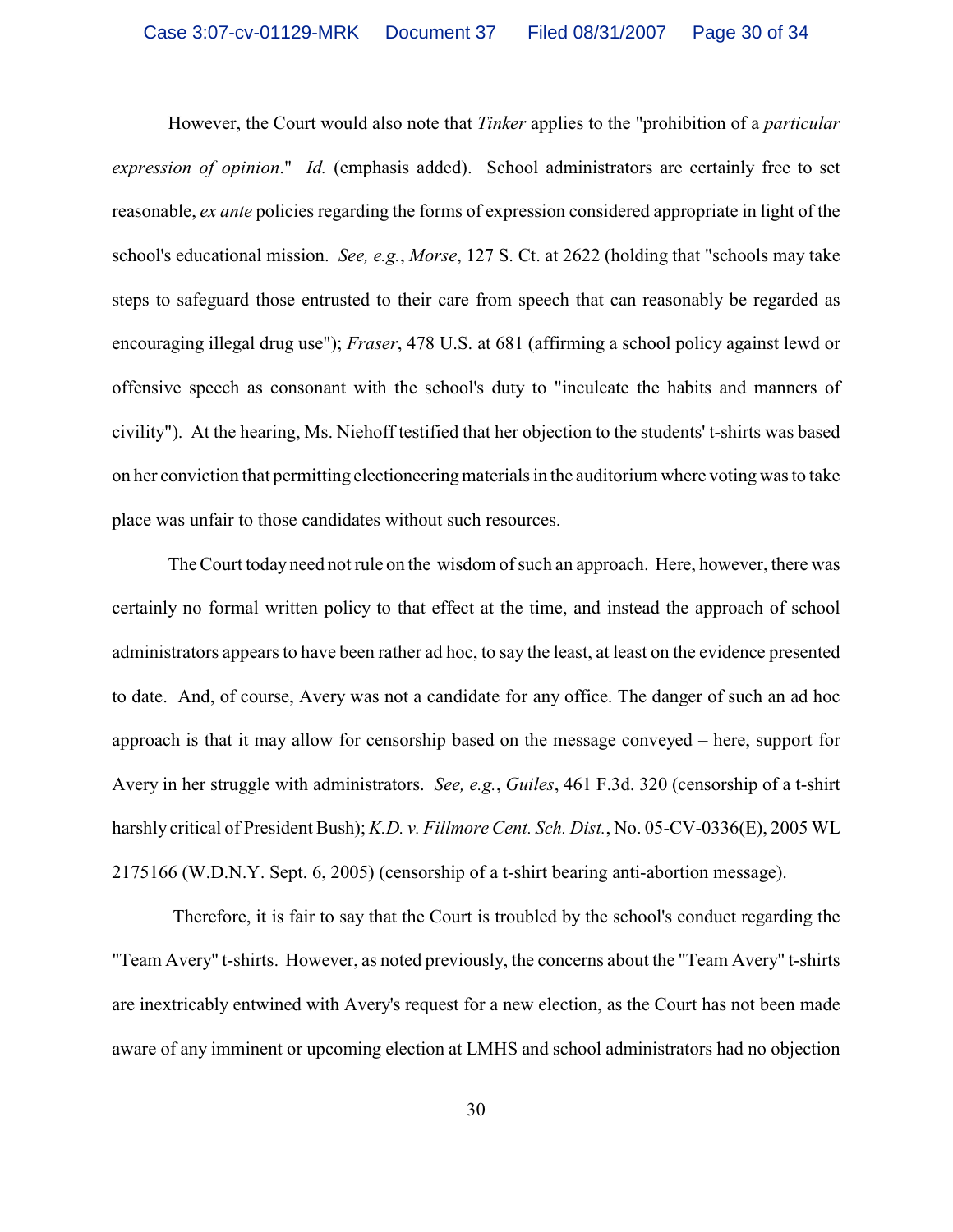However, the Court would also note that *Tinker* applies to the "prohibition of a *particular expression of opinion*." *Id.* (emphasis added). School administrators are certainly free to set reasonable, *ex ante* policies regarding the forms of expression considered appropriate in light of the school's educational mission. *See, e.g.*, *Morse*, 127 S. Ct. at 2622 (holding that "schools may take steps to safeguard those entrusted to their care from speech that can reasonably be regarded as encouraging illegal drug use"); *Fraser*, 478 U.S. at 681 (affirming a school policy against lewd or offensive speech as consonant with the school's duty to "inculcate the habits and manners of civility"). At the hearing, Ms. Niehoff testified that her objection to the students' t-shirts was based on her conviction that permitting electioneeringmaterials in the auditorium where voting was to take place was unfair to those candidates without such resources.

The Court today need not rule on the wisdom of such an approach. Here, however, there was certainly no formal written policy to that effect at the time, and instead the approach of school administrators appears to have been rather ad hoc, to say the least, at least on the evidence presented to date. And, of course, Avery was not a candidate for any office. The danger of such an ad hoc approach is that it may allow for censorship based on the message conveyed – here, support for Avery in her struggle with administrators. *See, e.g.*, *Guiles*, 461 F.3d. 320 (censorship of a t-shirt harshly critical of President Bush); *K.D. v. Fillmore Cent. Sch. Dist.*, No. 05-CV-0336(E), 2005 WL 2175166 (W.D.N.Y. Sept. 6, 2005) (censorship of a t-shirt bearing anti-abortion message).

Therefore, it is fair to say that the Court is troubled by the school's conduct regarding the "Team Avery" t-shirts. However, as noted previously, the concerns about the "Team Avery" t-shirts are inextricably entwined with Avery's request for a new election, as the Court has not been made aware of any imminent or upcoming election at LMHS and school administrators had no objection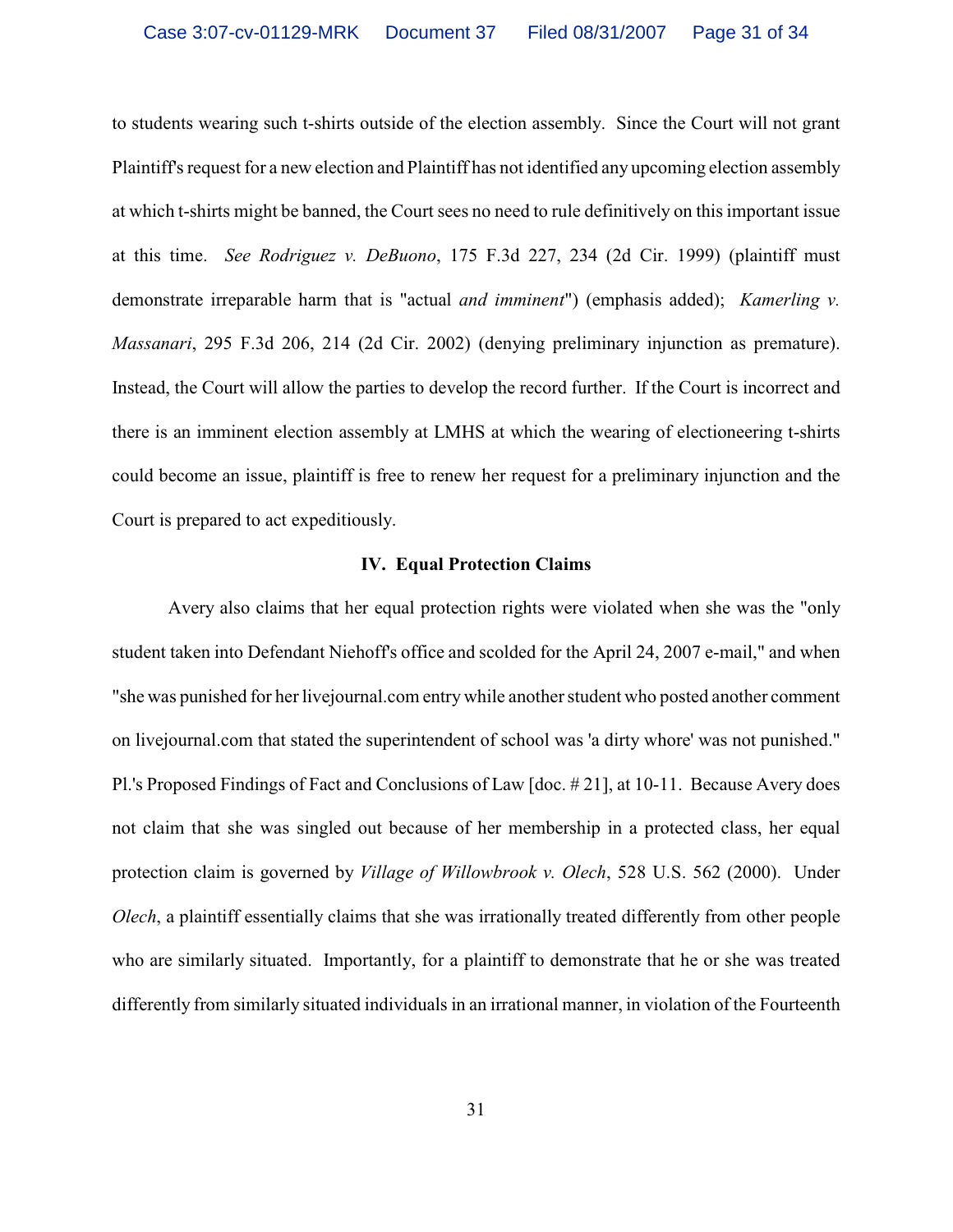to students wearing such t-shirts outside of the election assembly. Since the Court will not grant Plaintiff's request for a new election and Plaintiff has not identified any upcoming election assembly at which t-shirts might be banned, the Court sees no need to rule definitively on this important issue at this time. *See Rodriguez v. DeBuono*, 175 F.3d 227, 234 (2d Cir. 1999) (plaintiff must demonstrate irreparable harm that is "actual *and imminent*") (emphasis added); *Kamerling v. Massanari*, 295 F.3d 206, 214 (2d Cir. 2002) (denying preliminary injunction as premature). Instead, the Court will allow the parties to develop the record further. If the Court is incorrect and there is an imminent election assembly at LMHS at which the wearing of electioneering t-shirts could become an issue, plaintiff is free to renew her request for a preliminary injunction and the Court is prepared to act expeditiously.

## **IV. Equal Protection Claims**

Avery also claims that her equal protection rights were violated when she was the "only student taken into Defendant Niehoff's office and scolded for the April 24, 2007 e-mail," and when "she was punished for her livejournal.com entry while another student who posted another comment on livejournal.com that stated the superintendent of school was 'a dirty whore' was not punished." Pl.'s Proposed Findings of Fact and Conclusions of Law [doc. # 21], at 10-11. Because Avery does not claim that she was singled out because of her membership in a protected class, her equal protection claim is governed by *Village of Willowbrook v. Olech*, 528 U.S. 562 (2000). Under *Olech*, a plaintiff essentially claims that she was irrationally treated differently from other people who are similarly situated. Importantly, for a plaintiff to demonstrate that he or she was treated differently from similarly situated individuals in an irrational manner, in violation of the Fourteenth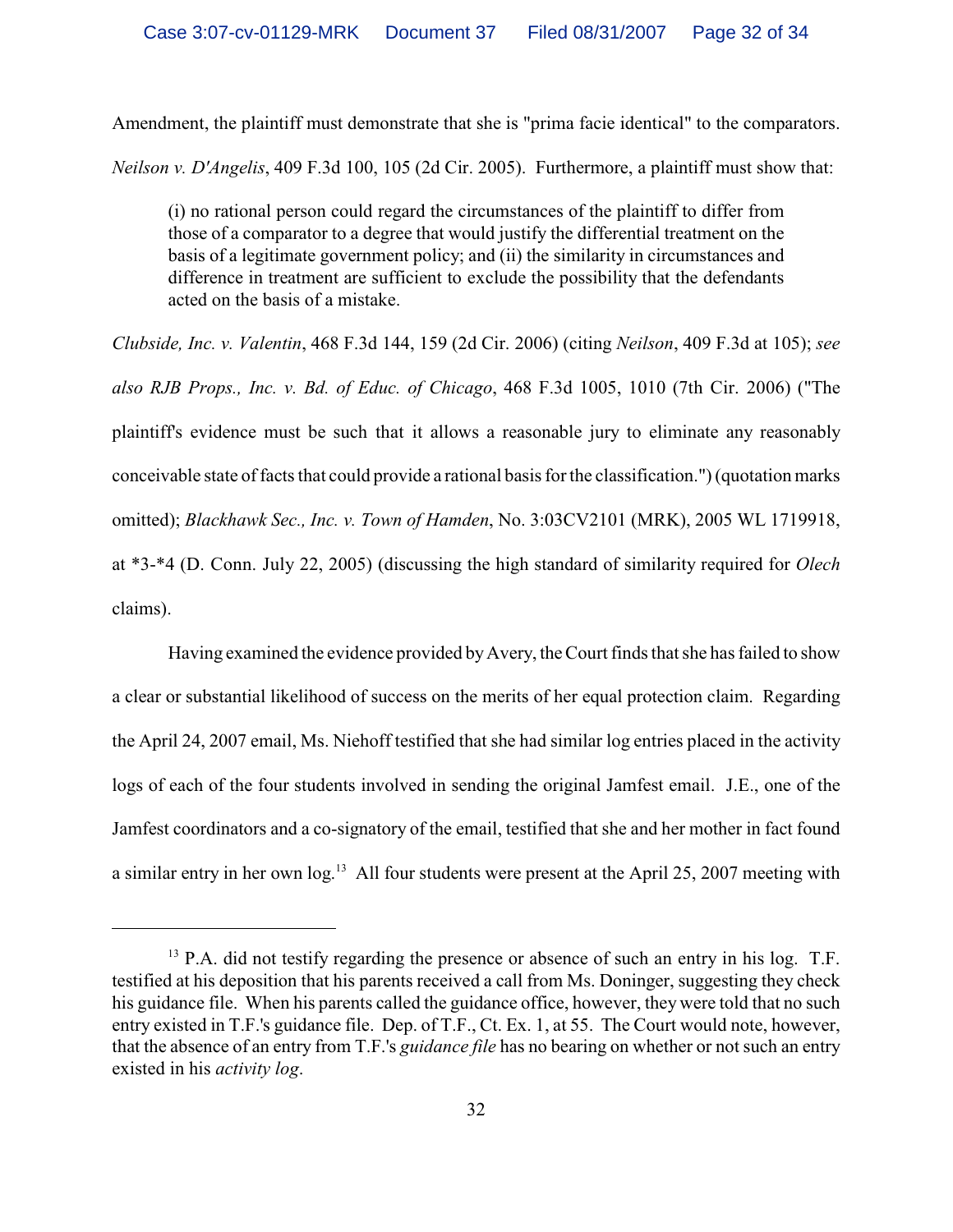Amendment, the plaintiff must demonstrate that she is "prima facie identical" to the comparators. *Neilson v. D'Angelis*, 409 F.3d 100, 105 (2d Cir. 2005). Furthermore, a plaintiff must show that:

(i) no rational person could regard the circumstances of the plaintiff to differ from those of a comparator to a degree that would justify the differential treatment on the basis of a legitimate government policy; and (ii) the similarity in circumstances and difference in treatment are sufficient to exclude the possibility that the defendants acted on the basis of a mistake.

*Clubside, Inc. v. Valentin*, 468 F.3d 144, 159 (2d Cir. 2006) (citing *Neilson*, 409 F.3d at 105); *see also RJB Props., Inc. v. Bd. of Educ. of Chicago*, 468 F.3d 1005, 1010 (7th Cir. 2006) ("The plaintiff's evidence must be such that it allows a reasonable jury to eliminate any reasonably conceivable state offacts that could provide a rational basis for the classification.") (quotation marks omitted); *Blackhawk Sec., Inc. v. Town of Hamden*, No. 3:03CV2101 (MRK), 2005 WL 1719918, at \*3-\*4 (D. Conn. July 22, 2005) (discussing the high standard of similarity required for *Olech* claims).

Having examined the evidence provided byAvery, the Court finds that she has failed to show a clear or substantial likelihood of success on the merits of her equal protection claim. Regarding the April 24, 2007 email, Ms. Niehoff testified that she had similar log entries placed in the activity logs of each of the four students involved in sending the original Jamfest email. J.E., one of the Jamfest coordinators and a co-signatory of the email, testified that she and her mother in fact found a similar entry in her own log.<sup>13</sup> All four students were present at the April 25, 2007 meeting with

 $<sup>13</sup>$  P.A. did not testify regarding the presence or absence of such an entry in his log. T.F.</sup> testified at his deposition that his parents received a call from Ms. Doninger, suggesting they check his guidance file. When his parents called the guidance office, however, they were told that no such entry existed in T.F.'s guidance file. Dep. of T.F., Ct. Ex. 1, at 55. The Court would note, however, that the absence of an entry from T.F.'s *guidance file* has no bearing on whether or not such an entry existed in his *activity log*.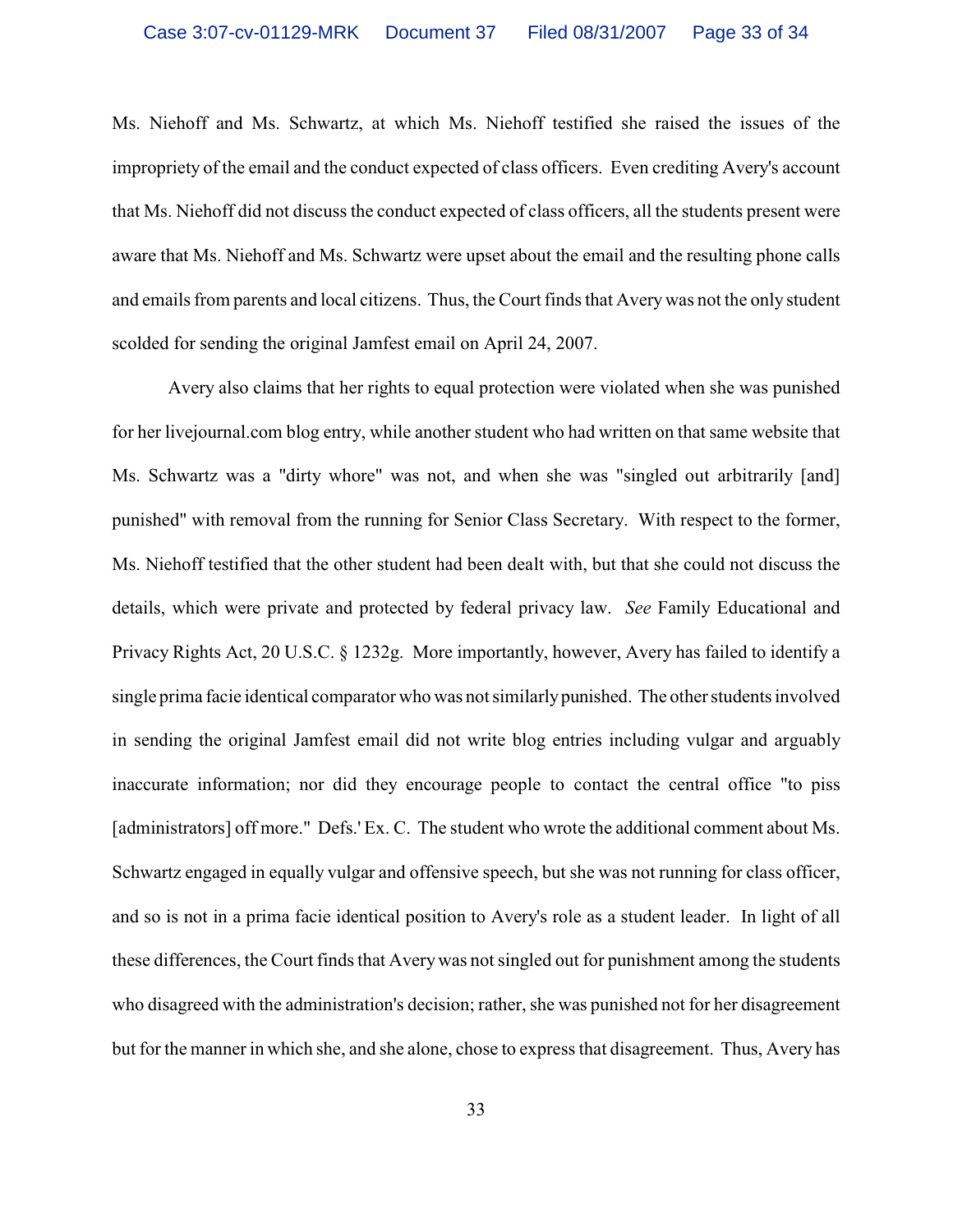Ms. Niehoff and Ms. Schwartz, at which Ms. Niehoff testified she raised the issues of the impropriety of the email and the conduct expected of class officers. Even crediting Avery's account that Ms. Niehoff did not discuss the conduct expected of class officers, all the students present were aware that Ms. Niehoff and Ms. Schwartz were upset about the email and the resulting phone calls and emails from parents and local citizens. Thus, the Court finds that Avery was not the only student scolded for sending the original Jamfest email on April 24, 2007.

Avery also claims that her rights to equal protection were violated when she was punished for her livejournal.com blog entry, while another student who had written on that same website that Ms. Schwartz was a "dirty whore" was not, and when she was "singled out arbitrarily [and] punished" with removal from the running for Senior Class Secretary. With respect to the former, Ms. Niehoff testified that the other student had been dealt with, but that she could not discuss the details, which were private and protected by federal privacy law. *See* Family Educational and Privacy Rights Act, 20 U.S.C. § 1232g. More importantly, however, Avery has failed to identify a single prima facie identical comparator who was not similarly punished. The other students involved in sending the original Jamfest email did not write blog entries including vulgar and arguably inaccurate information; nor did they encourage people to contact the central office "to piss [administrators] off more." Defs.' Ex. C. The student who wrote the additional comment about Ms. Schwartz engaged in equally vulgar and offensive speech, but she was not running for class officer, and so is not in a prima facie identical position to Avery's role as a student leader. In light of all these differences, the Court finds that Averywas not singled out for punishment among the students who disagreed with the administration's decision; rather, she was punished not for her disagreement but for the manner in which she, and she alone, chose to express that disagreement. Thus, Avery has